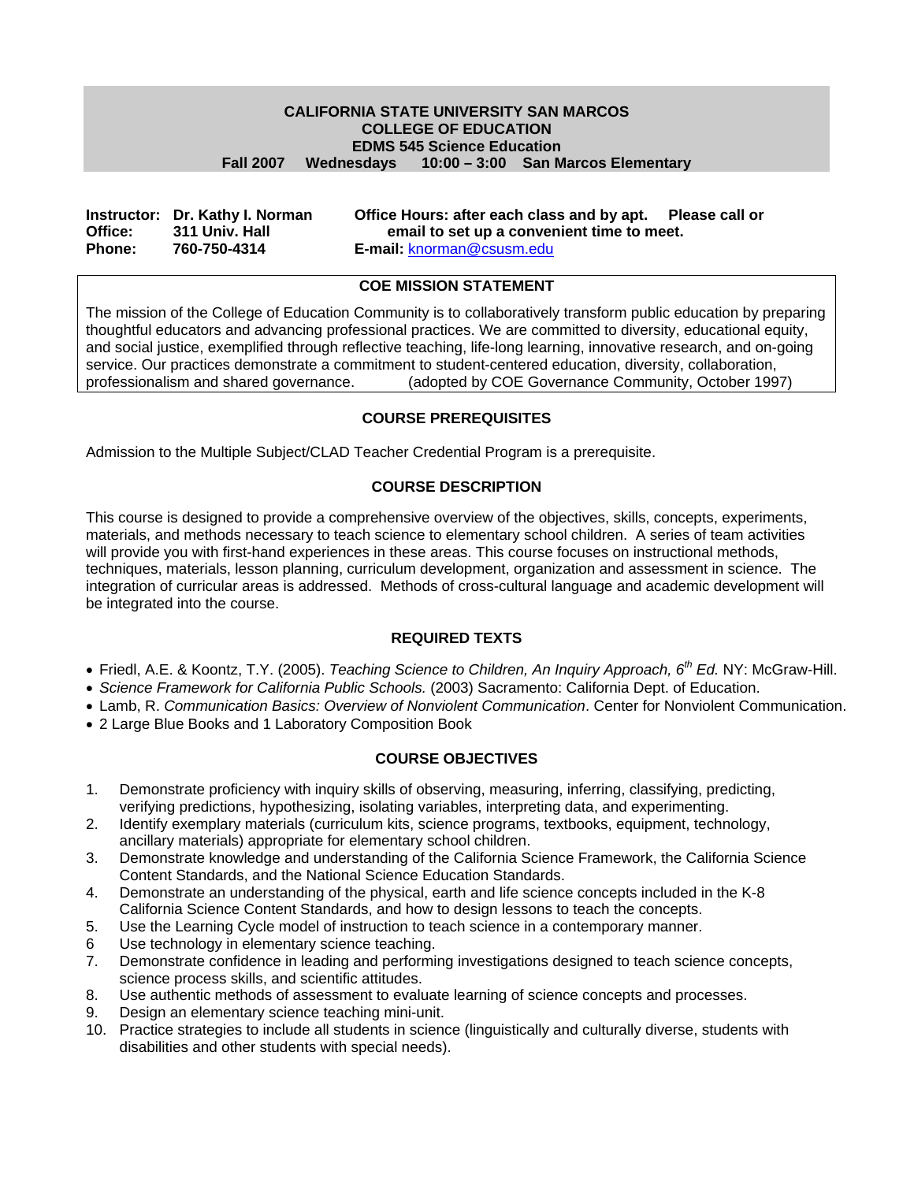#### **CALIFORNIA STATE UNIVERSITY SAN MARCOS COLLEGE OF EDUCATION EDMS 545 Science Education Fall 2007 Wednesdays 10:00 – 3:00 San Marcos Elementary**

|               | Instructor: Dr. Kathy I. Norman | Office Hours: after each class and by apt. Please call or |  |
|---------------|---------------------------------|-----------------------------------------------------------|--|
| Office:       | 311 Univ. Hall                  | email to set up a convenient time to meet.                |  |
| <b>Phone:</b> | 760-750-4314                    | E-mail: knorman@csusm.edu                                 |  |

#### **COE MISSION STATEMENT**

The mission of the College of Education Community is to collaboratively transform public education by preparing thoughtful educators and advancing professional practices. We are committed to diversity, educational equity, and social justice, exemplified through reflective teaching, life-long learning, innovative research, and on-going service. Our practices demonstrate a commitment to student-centered education, diversity, collaboration, professionalism and shared governance. (adopted by COE Governance Community, October 1997)

## **COURSE PREREQUISITES**

Admission to the Multiple Subject/CLAD Teacher Credential Program is a prerequisite.

# **COURSE DESCRIPTION**

This course is designed to provide a comprehensive overview of the objectives, skills, concepts, experiments, materials, and methods necessary to teach science to elementary school children. A series of team activities will provide you with first-hand experiences in these areas. This course focuses on instructional methods, techniques, materials, lesson planning, curriculum development, organization and assessment in science. The integration of curricular areas is addressed. Methods of cross-cultural language and academic development will be integrated into the course.

#### **REQUIRED TEXTS**

- Friedl, A.E. & Koontz, T.Y. (2005). *Teaching Science to Children, An Inquiry Approach, 6th Ed.* NY: McGraw-Hill.
- *Science Framework for California Public Schools.* (2003) Sacramento: California Dept. of Education.
- Lamb, R. *Communication Basics: Overview of Nonviolent Communication*. Center for Nonviolent Communication.
- 2 Large Blue Books and 1 Laboratory Composition Book

# **COURSE OBJECTIVES**

- 1. Demonstrate proficiency with inquiry skills of observing, measuring, inferring, classifying, predicting, verifying predictions, hypothesizing, isolating variables, interpreting data, and experimenting.
- 2. Identify exemplary materials (curriculum kits, science programs, textbooks, equipment, technology, ancillary materials) appropriate for elementary school children.
- 3. Demonstrate knowledge and understanding of the California Science Framework, the California Science Content Standards, and the National Science Education Standards.
- 4. Demonstrate an understanding of the physical, earth and life science concepts included in the K-8 California Science Content Standards, and how to design lessons to teach the concepts.
- 5. Use the Learning Cycle model of instruction to teach science in a contemporary manner.
- 6 Use technology in elementary science teaching.
- 7. Demonstrate confidence in leading and performing investigations designed to teach science concepts, science process skills, and scientific attitudes.
- 8. Use authentic methods of assessment to evaluate learning of science concepts and processes.
- 9. Design an elementary science teaching mini-unit.
- 10. Practice strategies to include all students in science (linguistically and culturally diverse, students with disabilities and other students with special needs).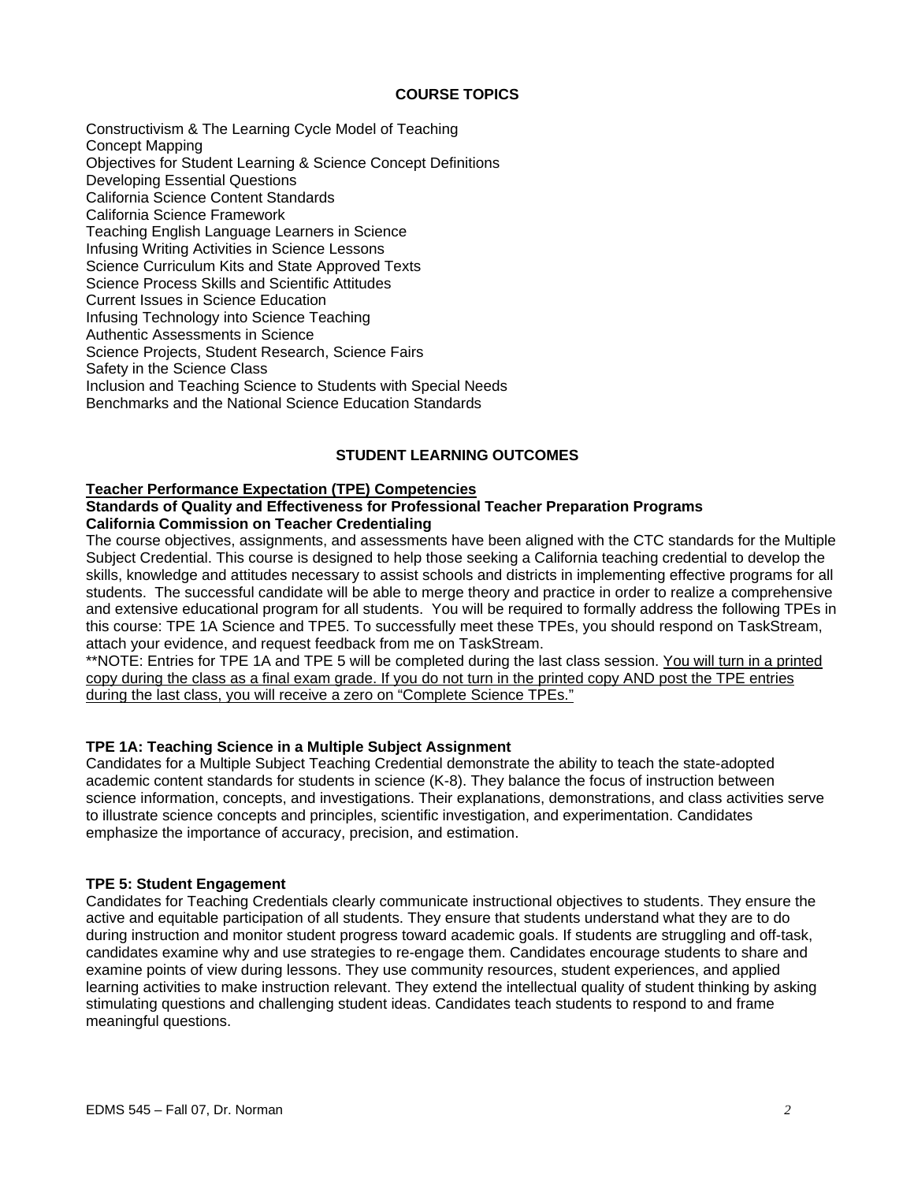#### **COURSE TOPICS**

Constructivism & The Learning Cycle Model of Teaching Concept Mapping Objectives for Student Learning & Science Concept Definitions Developing Essential Questions California Science Content Standards California Science Framework Teaching English Language Learners in Science Infusing Writing Activities in Science Lessons Science Curriculum Kits and State Approved Texts Science Process Skills and Scientific Attitudes Current Issues in Science Education Infusing Technology into Science Teaching Authentic Assessments in Science Science Projects, Student Research, Science Fairs Safety in the Science Class Inclusion and Teaching Science to Students with Special Needs Benchmarks and the National Science Education Standards

#### **STUDENT LEARNING OUTCOMES**

#### **Teacher Performance Expectation (TPE) Competencies**

#### **Standards of Quality and Effectiveness for Professional Teacher Preparation Programs California Commission on Teacher Credentialing**

The course objectives, assignments, and assessments have been aligned with the CTC standards for the Multiple Subject Credential. This course is designed to help those seeking a California teaching credential to develop the skills, knowledge and attitudes necessary to assist schools and districts in implementing effective programs for all students. The successful candidate will be able to merge theory and practice in order to realize a comprehensive and extensive educational program for all students. You will be required to formally address the following TPEs in this course: TPE 1A Science and TPE5. To successfully meet these TPEs, you should respond on TaskStream, attach your evidence, and request feedback from me on TaskStream.

\*\*NOTE: Entries for TPE 1A and TPE 5 will be completed during the last class session. You will turn in a printed copy during the class as a final exam grade. If you do not turn in the printed copy AND post the TPE entries during the last class, you will receive a zero on "Complete Science TPEs."

#### **TPE 1A: Teaching Science in a Multiple Subject Assignment**

Candidates for a Multiple Subject Teaching Credential demonstrate the ability to teach the state-adopted academic content standards for students in science (K-8). They balance the focus of instruction between science information, concepts, and investigations. Their explanations, demonstrations, and class activities serve to illustrate science concepts and principles, scientific investigation, and experimentation. Candidates emphasize the importance of accuracy, precision, and estimation.

#### **TPE 5: Student Engagement**

Candidates for Teaching Credentials clearly communicate instructional objectives to students. They ensure the active and equitable participation of all students. They ensure that students understand what they are to do during instruction and monitor student progress toward academic goals. If students are struggling and off-task, candidates examine why and use strategies to re-engage them. Candidates encourage students to share and examine points of view during lessons. They use community resources, student experiences, and applied learning activities to make instruction relevant. They extend the intellectual quality of student thinking by asking stimulating questions and challenging student ideas. Candidates teach students to respond to and frame meaningful questions.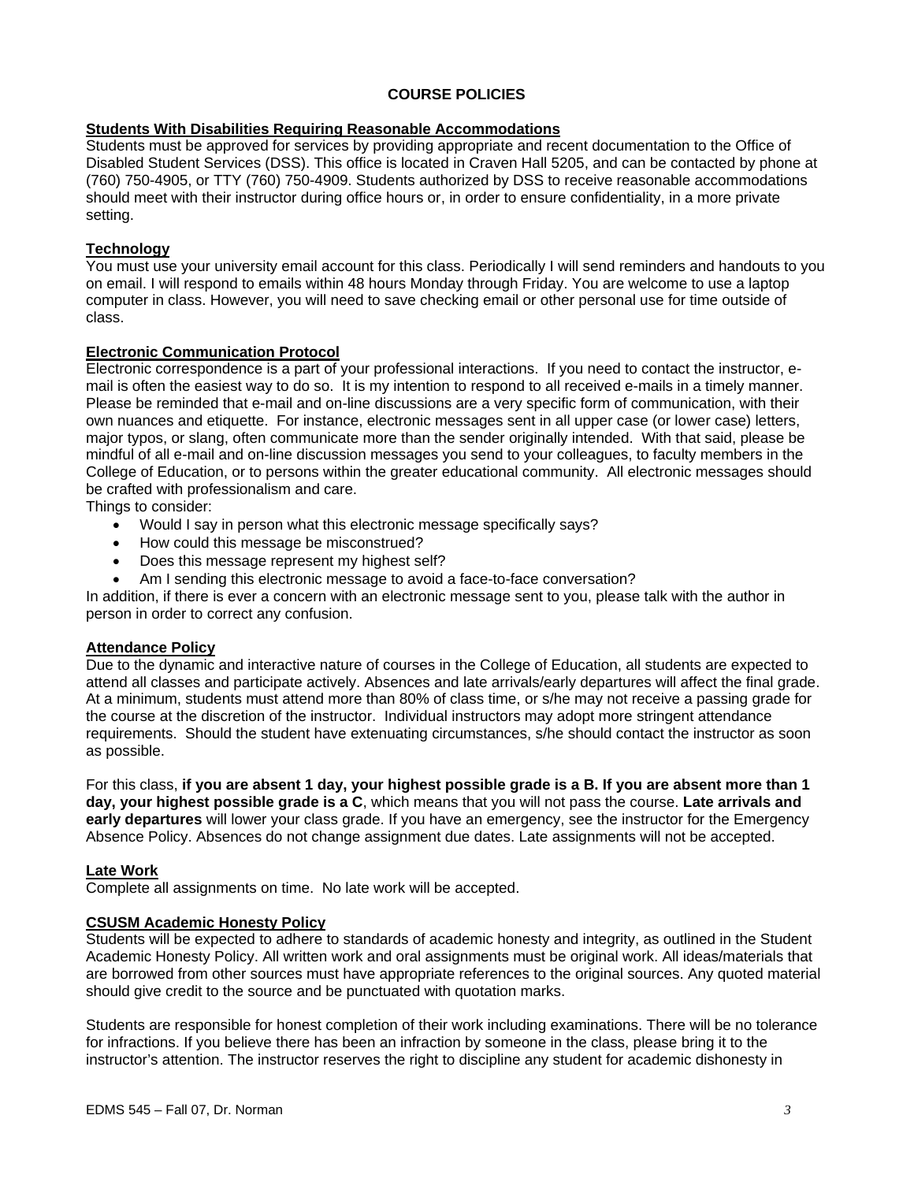## **COURSE POLICIES**

#### **Students With Disabilities Requiring Reasonable Accommodations**

Students must be approved for services by providing appropriate and recent documentation to the Office of Disabled Student Services (DSS). This office is located in Craven Hall 5205, and can be contacted by phone at (760) 750-4905, or TTY (760) 750-4909. Students authorized by DSS to receive reasonable accommodations should meet with their instructor during office hours or, in order to ensure confidentiality, in a more private setting.

#### **Technology**

You must use your university email account for this class. Periodically I will send reminders and handouts to you on email. I will respond to emails within 48 hours Monday through Friday. You are welcome to use a laptop computer in class. However, you will need to save checking email or other personal use for time outside of class.

#### **Electronic Communication Protocol**

Electronic correspondence is a part of your professional interactions. If you need to contact the instructor, email is often the easiest way to do so. It is my intention to respond to all received e-mails in a timely manner. Please be reminded that e-mail and on-line discussions are a very specific form of communication, with their own nuances and etiquette. For instance, electronic messages sent in all upper case (or lower case) letters, major typos, or slang, often communicate more than the sender originally intended. With that said, please be mindful of all e-mail and on-line discussion messages you send to your colleagues, to faculty members in the College of Education, or to persons within the greater educational community. All electronic messages should be crafted with professionalism and care.

Things to consider:

- Would I say in person what this electronic message specifically says?
- How could this message be misconstrued?
- Does this message represent my highest self?
- Am I sending this electronic message to avoid a face-to-face conversation?

In addition, if there is ever a concern with an electronic message sent to you, please talk with the author in person in order to correct any confusion.

#### **Attendance Policy**

Due to the dynamic and interactive nature of courses in the College of Education, all students are expected to attend all classes and participate actively. Absences and late arrivals/early departures will affect the final grade. At a minimum, students must attend more than 80% of class time, or s/he may not receive a passing grade for the course at the discretion of the instructor. Individual instructors may adopt more stringent attendance requirements. Should the student have extenuating circumstances, s/he should contact the instructor as soon as possible.

For this class, **if you are absent 1 day, your highest possible grade is a B. If you are absent more than 1 day, your highest possible grade is a C**, which means that you will not pass the course. **Late arrivals and early departures** will lower your class grade. If you have an emergency, see the instructor for the Emergency Absence Policy. Absences do not change assignment due dates. Late assignments will not be accepted.

#### **Late Work**

Complete all assignments on time. No late work will be accepted.

# **CSUSM Academic Honesty Policy**

Students will be expected to adhere to standards of academic honesty and integrity, as outlined in the Student Academic Honesty Policy. All written work and oral assignments must be original work. All ideas/materials that are borrowed from other sources must have appropriate references to the original sources. Any quoted material should give credit to the source and be punctuated with quotation marks.

Students are responsible for honest completion of their work including examinations. There will be no tolerance for infractions. If you believe there has been an infraction by someone in the class, please bring it to the instructor's attention. The instructor reserves the right to discipline any student for academic dishonesty in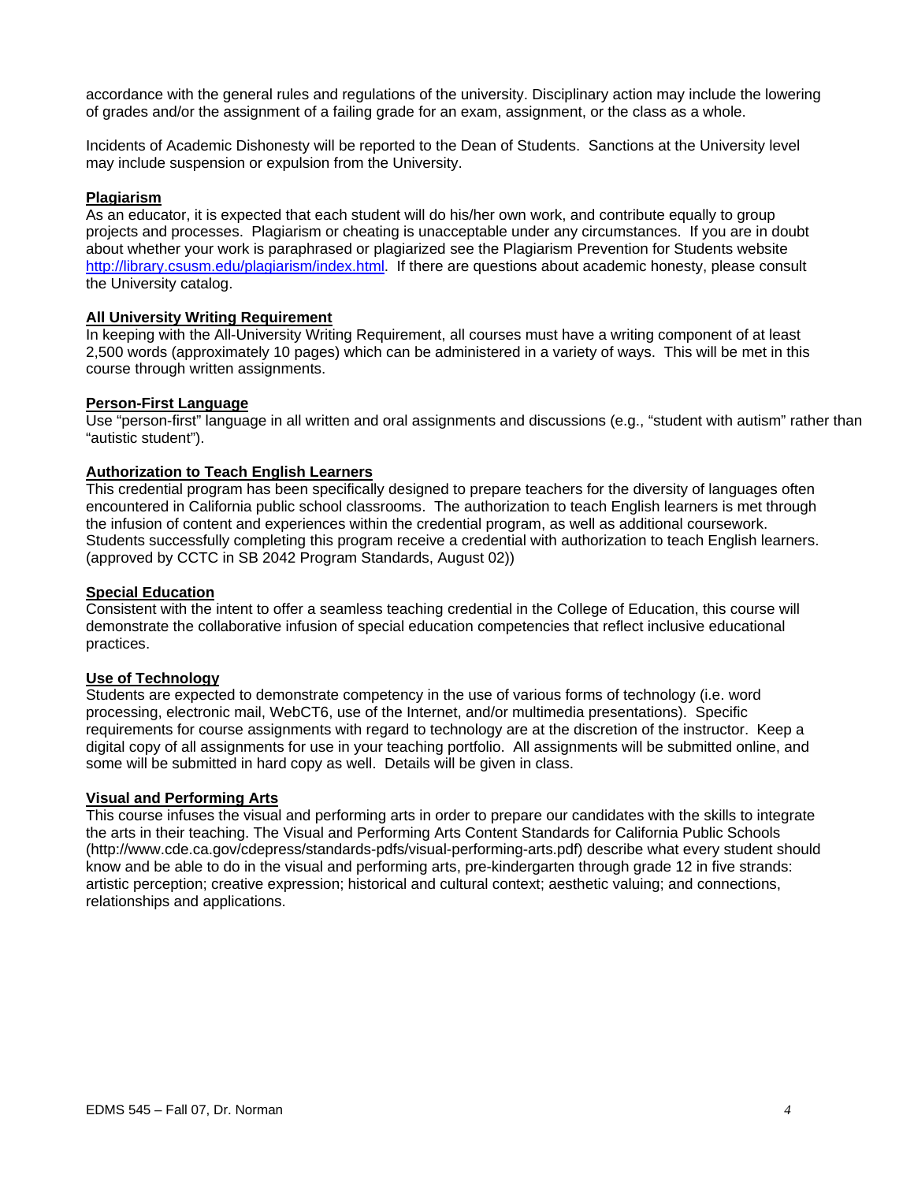accordance with the general rules and regulations of the university. Disciplinary action may include the lowering of grades and/or the assignment of a failing grade for an exam, assignment, or the class as a whole.

Incidents of Academic Dishonesty will be reported to the Dean of Students. Sanctions at the University level may include suspension or expulsion from the University.

#### **Plagiarism**

As an educator, it is expected that each student will do his/her own work, and contribute equally to group projects and processes. Plagiarism or cheating is unacceptable under any circumstances. If you are in doubt about whether your work is paraphrased or plagiarized see the Plagiarism Prevention for Students website http://library.csusm.edu/plagiarism/index.html. If there are questions about academic honesty, please consult the University catalog.

#### **All University Writing Requirement**

In keeping with the All-University Writing Requirement, all courses must have a writing component of at least 2,500 words (approximately 10 pages) which can be administered in a variety of ways. This will be met in this course through written assignments.

#### **Person-First Language**

Use "person-first" language in all written and oral assignments and discussions (e.g., "student with autism" rather than "autistic student").

#### **Authorization to Teach English Learners**

This credential program has been specifically designed to prepare teachers for the diversity of languages often encountered in California public school classrooms. The authorization to teach English learners is met through the infusion of content and experiences within the credential program, as well as additional coursework. Students successfully completing this program receive a credential with authorization to teach English learners. (approved by CCTC in SB 2042 Program Standards, August 02))

#### **Special Education**

Consistent with the intent to offer a seamless teaching credential in the College of Education, this course will demonstrate the collaborative infusion of special education competencies that reflect inclusive educational practices.

#### **Use of Technology**

Students are expected to demonstrate competency in the use of various forms of technology (i.e. word processing, electronic mail, WebCT6, use of the Internet, and/or multimedia presentations). Specific requirements for course assignments with regard to technology are at the discretion of the instructor. Keep a digital copy of all assignments for use in your teaching portfolio. All assignments will be submitted online, and some will be submitted in hard copy as well. Details will be given in class.

#### **Visual and Performing Arts**

This course infuses the visual and performing arts in order to prepare our candidates with the skills to integrate the arts in their teaching. The Visual and Performing Arts Content Standards for California Public Schools (http://www.cde.ca.gov/cdepress/standards-pdfs/visual-performing-arts.pdf) describe what every student should know and be able to do in the visual and performing arts, pre-kindergarten through grade 12 in five strands: artistic perception; creative expression; historical and cultural context; aesthetic valuing; and connections, relationships and applications.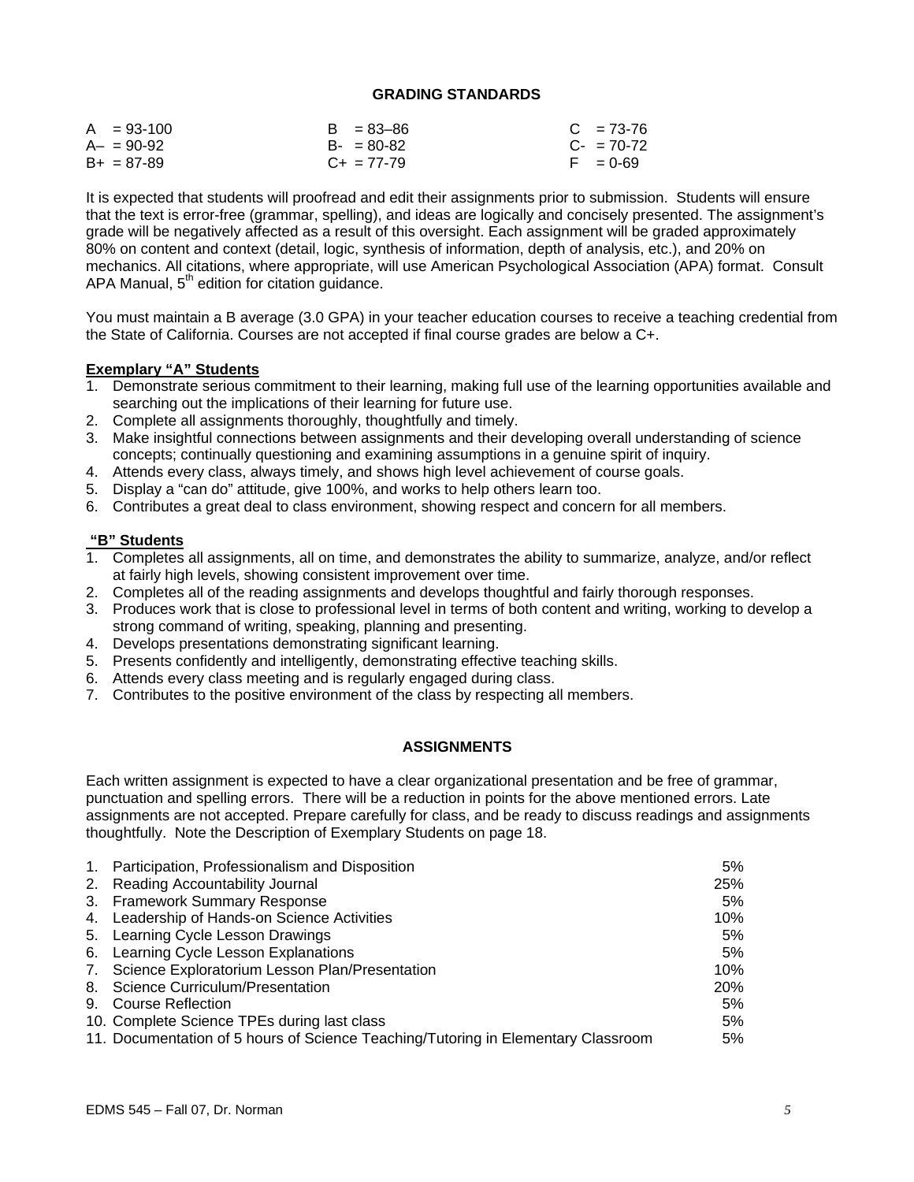#### **GRADING STANDARDS**

| $A = 93-100$    | $B = 83 - 86$   | $C = 73-76$ |
|-----------------|-----------------|-------------|
| $A - = 90 - 92$ | $B - 80 - 82$   | $C - 70-72$ |
| $B+ = 87-89$    | $C_{+}$ = 77-79 | $F = 0.69$  |

It is expected that students will proofread and edit their assignments prior to submission. Students will ensure that the text is error-free (grammar, spelling), and ideas are logically and concisely presented. The assignment's grade will be negatively affected as a result of this oversight. Each assignment will be graded approximately 80% on content and context (detail, logic, synthesis of information, depth of analysis, etc.), and 20% on mechanics. All citations, where appropriate, will use American Psychological Association (APA) format. Consult APA Manual,  $5<sup>th</sup>$  edition for citation guidance.

You must maintain a B average (3.0 GPA) in your teacher education courses to receive a teaching credential from the State of California. Courses are not accepted if final course grades are below a C+.

# **Exemplary "A" Students**

- 1. Demonstrate serious commitment to their learning, making full use of the learning opportunities available and searching out the implications of their learning for future use.
- 2. Complete all assignments thoroughly, thoughtfully and timely.
- 3. Make insightful connections between assignments and their developing overall understanding of science concepts; continually questioning and examining assumptions in a genuine spirit of inquiry.
- 4. Attends every class, always timely, and shows high level achievement of course goals.
- 5. Display a "can do" attitude, give 100%, and works to help others learn too.
- 6. Contributes a great deal to class environment, showing respect and concern for all members.

#### **"B" Students**

- 1. Completes all assignments, all on time, and demonstrates the ability to summarize, analyze, and/or reflect at fairly high levels, showing consistent improvement over time.
- 2. Completes all of the reading assignments and develops thoughtful and fairly thorough responses.
- 3. Produces work that is close to professional level in terms of both content and writing, working to develop a strong command of writing, speaking, planning and presenting.
- 4. Develops presentations demonstrating significant learning.
- 5. Presents confidently and intelligently, demonstrating effective teaching skills.
- 6. Attends every class meeting and is regularly engaged during class.
- 7. Contributes to the positive environment of the class by respecting all members.

#### **ASSIGNMENTS**

Each written assignment is expected to have a clear organizational presentation and be free of grammar, punctuation and spelling errors. There will be a reduction in points for the above mentioned errors. Late assignments are not accepted. Prepare carefully for class, and be ready to discuss readings and assignments thoughtfully. Note the Description of Exemplary Students on page 18.

| 1. Participation, Professionalism and Disposition                                 | 5%     |
|-----------------------------------------------------------------------------------|--------|
| 2. Reading Accountability Journal                                                 | 25%    |
| 3. Framework Summary Response                                                     | 5%     |
| 4. Leadership of Hands-on Science Activities                                      | $10\%$ |
| 5. Learning Cycle Lesson Drawings                                                 | 5%     |
| 6. Learning Cycle Lesson Explanations                                             | 5%     |
| 7. Science Exploratorium Lesson Plan/Presentation                                 | 10%    |
| 8. Science Curriculum/Presentation                                                | 20%    |
| 9. Course Reflection                                                              | 5%     |
| 10. Complete Science TPEs during last class                                       | 5%     |
| 11. Documentation of 5 hours of Science Teaching/Tutoring in Elementary Classroom | 5%     |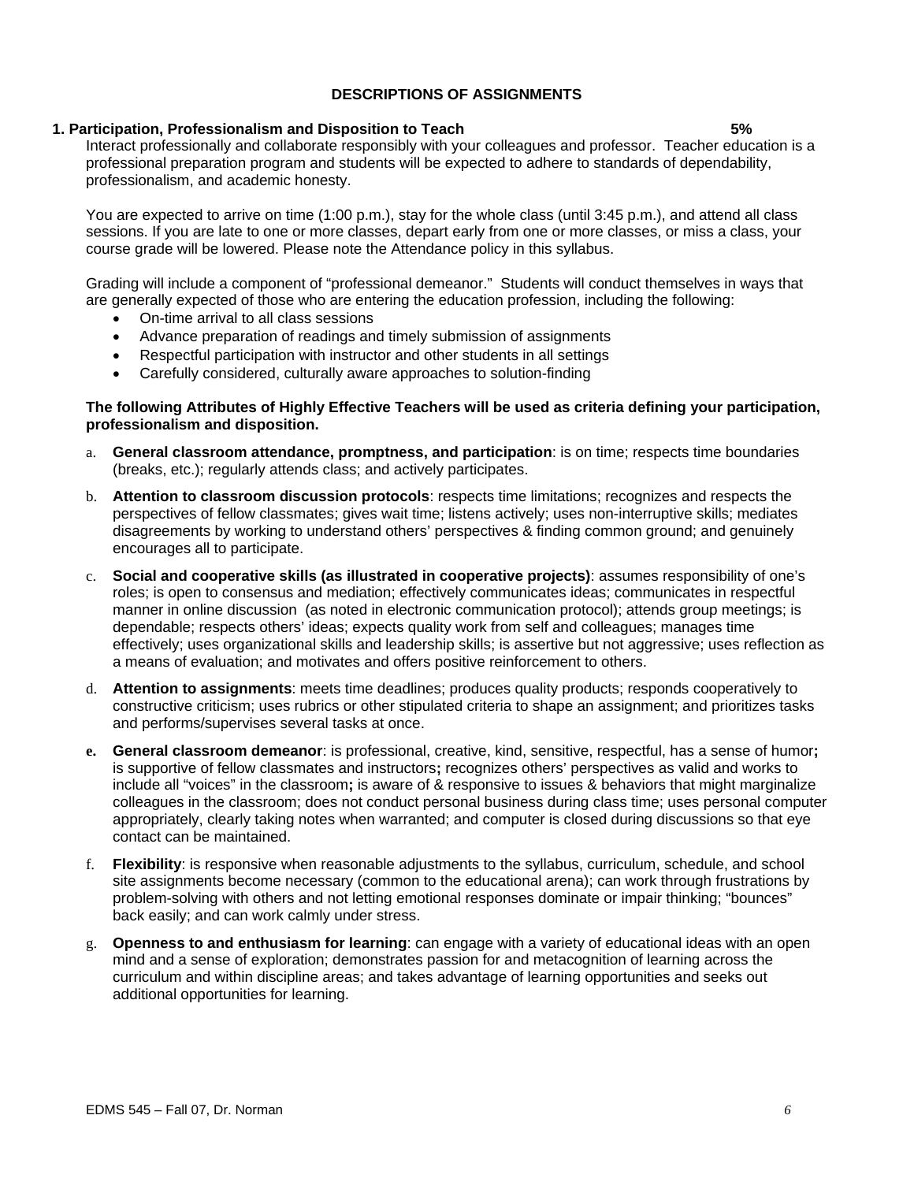#### EDMS 545 – Fall 07, Dr. Norman *6*

#### **DESCRIPTIONS OF ASSIGNMENTS**

#### **1. Participation, Professionalism and Disposition to Teach 5%**

Interact professionally and collaborate responsibly with your colleagues and professor. Teacher education is a professional preparation program and students will be expected to adhere to standards of dependability, professionalism, and academic honesty.

You are expected to arrive on time (1:00 p.m.), stay for the whole class (until 3:45 p.m.), and attend all class sessions. If you are late to one or more classes, depart early from one or more classes, or miss a class, your course grade will be lowered. Please note the Attendance policy in this syllabus.

Grading will include a component of "professional demeanor." Students will conduct themselves in ways that are generally expected of those who are entering the education profession, including the following:

- On-time arrival to all class sessions
- Advance preparation of readings and timely submission of assignments
- Respectful participation with instructor and other students in all settings
- Carefully considered, culturally aware approaches to solution-finding

#### **The following Attributes of Highly Effective Teachers will be used as criteria defining your participation, professionalism and disposition.**

- a. **General classroom attendance, promptness, and participation**: is on time; respects time boundaries (breaks, etc.); regularly attends class; and actively participates.
- b. **Attention to classroom discussion protocols**: respects time limitations; recognizes and respects the perspectives of fellow classmates; gives wait time; listens actively; uses non-interruptive skills; mediates disagreements by working to understand others' perspectives & finding common ground; and genuinely encourages all to participate.
- c. **Social and cooperative skills (as illustrated in cooperative projects)**: assumes responsibility of one's roles; is open to consensus and mediation; effectively communicates ideas; communicates in respectful manner in online discussion (as noted in electronic communication protocol); attends group meetings; is dependable; respects others' ideas; expects quality work from self and colleagues; manages time effectively; uses organizational skills and leadership skills; is assertive but not aggressive; uses reflection as a means of evaluation; and motivates and offers positive reinforcement to others.
- d. **Attention to assignments**: meets time deadlines; produces quality products; responds cooperatively to constructive criticism; uses rubrics or other stipulated criteria to shape an assignment; and prioritizes tasks and performs/supervises several tasks at once.
- **e. General classroom demeanor**: is professional, creative, kind, sensitive, respectful, has a sense of humor**;**  is supportive of fellow classmates and instructors**;** recognizes others' perspectives as valid and works to include all "voices" in the classroom**;** is aware of & responsive to issues & behaviors that might marginalize colleagues in the classroom; does not conduct personal business during class time; uses personal computer appropriately, clearly taking notes when warranted; and computer is closed during discussions so that eye contact can be maintained.
- f. **Flexibility**: is responsive when reasonable adjustments to the syllabus, curriculum, schedule, and school site assignments become necessary (common to the educational arena); can work through frustrations by problem-solving with others and not letting emotional responses dominate or impair thinking; "bounces" back easily; and can work calmly under stress.
- g. **Openness to and enthusiasm for learning**: can engage with a variety of educational ideas with an open mind and a sense of exploration; demonstrates passion for and metacognition of learning across the curriculum and within discipline areas; and takes advantage of learning opportunities and seeks out additional opportunities for learning.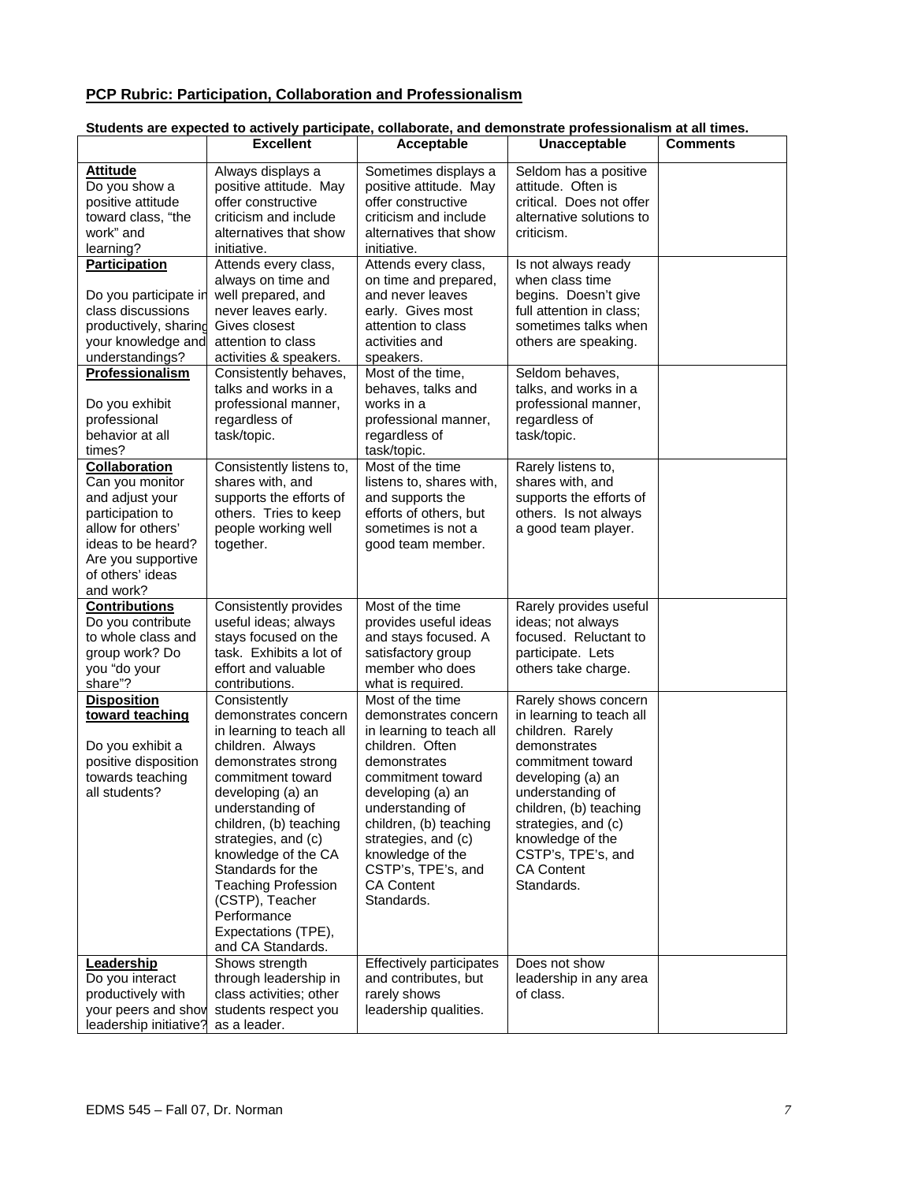# **PCP Rubric: Participation, Collaboration and Professionalism**

# **Students are expected to actively participate, collaborate, and demonstrate professionalism at all times.**

|                                         | <b>Excellent</b>                            | Acceptable                                  | Unacceptable                               | <b>Comments</b> |
|-----------------------------------------|---------------------------------------------|---------------------------------------------|--------------------------------------------|-----------------|
|                                         |                                             |                                             |                                            |                 |
| <b>Attitude</b>                         | Always displays a                           | Sometimes displays a                        | Seldom has a positive                      |                 |
| Do you show a                           | positive attitude. May                      | positive attitude. May                      | attitude. Often is                         |                 |
| positive attitude                       | offer constructive<br>criticism and include | offer constructive<br>criticism and include | critical. Does not offer                   |                 |
| toward class, "the<br>work" and         | alternatives that show                      | alternatives that show                      | alternative solutions to<br>criticism.     |                 |
| learning?                               | initiative.                                 | initiative.                                 |                                            |                 |
| <b>Participation</b>                    | Attends every class,                        | Attends every class,                        | Is not always ready                        |                 |
|                                         | always on time and                          | on time and prepared,                       | when class time                            |                 |
| Do you participate in                   | well prepared, and                          | and never leaves                            | begins. Doesn't give                       |                 |
| class discussions                       | never leaves early.                         | early. Gives most                           | full attention in class;                   |                 |
| productively, sharing                   | Gives closest                               | attention to class                          | sometimes talks when                       |                 |
| your knowledge and                      | attention to class                          | activities and                              | others are speaking.                       |                 |
| understandings?                         | activities & speakers.                      | speakers.                                   |                                            |                 |
| Professionalism                         | Consistently behaves,                       | Most of the time,                           | Seldom behaves,                            |                 |
|                                         | talks and works in a                        | behaves, talks and                          | talks, and works in a                      |                 |
| Do you exhibit                          | professional manner,                        | works in a                                  | professional manner,                       |                 |
| professional                            | regardless of                               | professional manner,                        | regardless of                              |                 |
| behavior at all                         | task/topic.                                 | regardless of                               | task/topic.                                |                 |
| times?                                  |                                             | task/topic.                                 |                                            |                 |
| Collaboration                           | Consistently listens to,                    | Most of the time                            | Rarely listens to,                         |                 |
| Can you monitor                         | shares with, and                            | listens to, shares with,                    | shares with, and                           |                 |
| and adjust your                         | supports the efforts of                     | and supports the                            | supports the efforts of                    |                 |
| participation to                        | others. Tries to keep                       | efforts of others, but                      | others. Is not always                      |                 |
| allow for others'<br>ideas to be heard? | people working well                         | sometimes is not a                          | a good team player.                        |                 |
| Are you supportive                      | together.                                   | good team member.                           |                                            |                 |
| of others' ideas                        |                                             |                                             |                                            |                 |
| and work?                               |                                             |                                             |                                            |                 |
| <b>Contributions</b>                    | Consistently provides                       | Most of the time                            | Rarely provides useful                     |                 |
| Do you contribute                       | useful ideas; always                        | provides useful ideas                       | ideas; not always                          |                 |
| to whole class and                      | stays focused on the                        | and stays focused. A                        | focused. Reluctant to                      |                 |
| group work? Do                          | task. Exhibits a lot of                     | satisfactory group                          | participate. Lets                          |                 |
| you "do your                            | effort and valuable                         | member who does                             | others take charge.                        |                 |
| share"?                                 | contributions.                              | what is required.                           |                                            |                 |
| <b>Disposition</b>                      | Consistently                                | Most of the time                            | Rarely shows concern                       |                 |
| toward teaching                         | demonstrates concern                        | demonstrates concern                        | in learning to teach all                   |                 |
|                                         | in learning to teach all                    | in learning to teach all                    | children. Rarely                           |                 |
| Do you exhibit a                        | children. Always                            | children. Often                             | demonstrates                               |                 |
| positive disposition                    | demonstrates strong                         | demonstrates                                | commitment toward                          |                 |
| towards teaching<br>all students?       | commitment toward                           | commitment toward                           | developing (a) an                          |                 |
|                                         | developing (a) an<br>understanding of       | developing (a) an<br>understanding of       | understanding of<br>children, (b) teaching |                 |
|                                         | children, (b) teaching                      | children, (b) teaching                      | strategies, and (c)                        |                 |
|                                         | strategies, and (c)                         | strategies, and (c)                         | knowledge of the                           |                 |
|                                         | knowledge of the CA                         | knowledge of the                            | CSTP's, TPE's, and                         |                 |
|                                         | Standards for the                           | CSTP's, TPE's, and                          | <b>CA Content</b>                          |                 |
|                                         | <b>Teaching Profession</b>                  | <b>CA Content</b>                           | Standards.                                 |                 |
|                                         | (CSTP), Teacher                             | Standards.                                  |                                            |                 |
|                                         | Performance                                 |                                             |                                            |                 |
|                                         | Expectations (TPE),                         |                                             |                                            |                 |
|                                         | and CA Standards.                           |                                             |                                            |                 |
| Leadership                              | Shows strength                              | Effectively participates                    | Does not show                              |                 |
| Do you interact                         | through leadership in                       | and contributes, but                        | leadership in any area                     |                 |
| productively with                       | class activities; other                     | rarely shows                                | of class.                                  |                 |
| your peers and show                     | students respect you                        | leadership qualities.                       |                                            |                 |
| leadership initiative?                  | as a leader.                                |                                             |                                            |                 |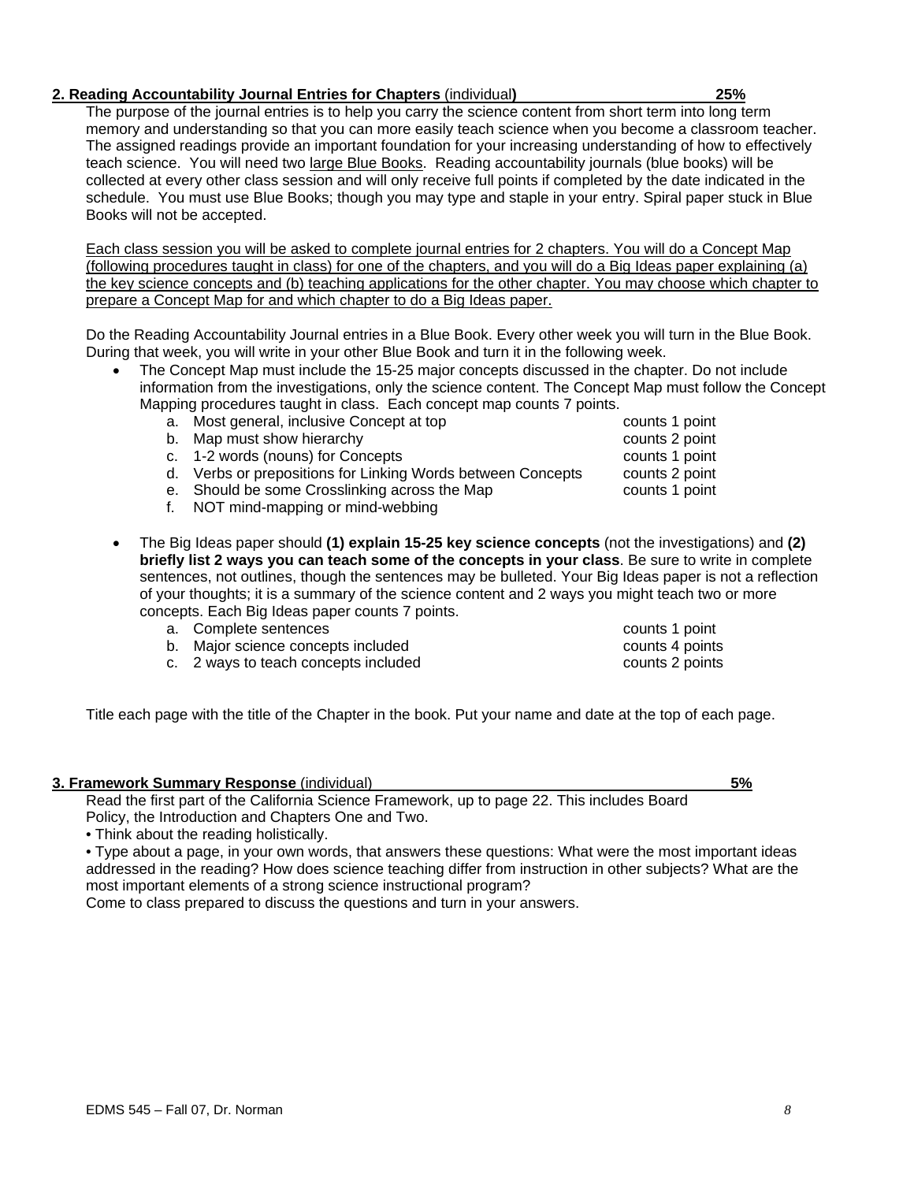# **2. Reading Accountability Journal Entries for Chapters** (individual**) 25%**

The purpose of the journal entries is to help you carry the science content from short term into long term memory and understanding so that you can more easily teach science when you become a classroom teacher. The assigned readings provide an important foundation for your increasing understanding of how to effectively teach science. You will need two large Blue Books. Reading accountability journals (blue books) will be collected at every other class session and will only receive full points if completed by the date indicated in the schedule. You must use Blue Books; though you may type and staple in your entry. Spiral paper stuck in Blue Books will not be accepted.

Each class session you will be asked to complete journal entries for 2 chapters. You will do a Concept Map (following procedures taught in class) for one of the chapters, and you will do a Big Ideas paper explaining (a) the key science concepts and (b) teaching applications for the other chapter. You may choose which chapter to prepare a Concept Map for and which chapter to do a Big Ideas paper.

Do the Reading Accountability Journal entries in a Blue Book. Every other week you will turn in the Blue Book. During that week, you will write in your other Blue Book and turn it in the following week.

- The Concept Map must include the 15-25 major concepts discussed in the chapter. Do not include information from the investigations, only the science content. The Concept Map must follow the Concept Mapping procedures taught in class. Each concept map counts 7 points.
	- a. Most general, inclusive Concept at top counts 1 point
	-
	- b. Map must show hierarchy<br>
	c. 1-2 words (nouns) for Concepts<br>
	counts 1 point<br>
	counts 1 point c. 1-2 words (nouns) for Concepts
	- d. Verbs or prepositions for Linking Words between Concepts counts 2 point
	- e. Should be some Crosslinking across the Map counts 1 point
	- f. NOT mind-mapping or mind-webbing
- The Big Ideas paper should **(1) explain 15-25 key science concepts** (not the investigations) and **(2) briefly list 2 ways you can teach some of the concepts in your class**. Be sure to write in complete sentences, not outlines, though the sentences may be bulleted. Your Big Ideas paper is not a reflection of your thoughts; it is a summary of the science content and 2 ways you might teach two or more concepts. Each Big Ideas paper counts 7 points.
	- a. Complete sentences counts 1 point
	- b. Major science concepts included counts 4 points 4 points
	- c. 2 ways to teach concepts included counts 2 points
- Title each page with the title of the Chapter in the book. Put your name and date at the top of each page.

#### **3. Framework Summary Response** (individual) **5%**

Read the first part of the California Science Framework, up to page 22. This includes Board Policy, the Introduction and Chapters One and Two.

• Think about the reading holistically.

• Type about a page, in your own words, that answers these questions: What were the most important ideas addressed in the reading? How does science teaching differ from instruction in other subjects? What are the most important elements of a strong science instructional program?

Come to class prepared to discuss the questions and turn in your answers.

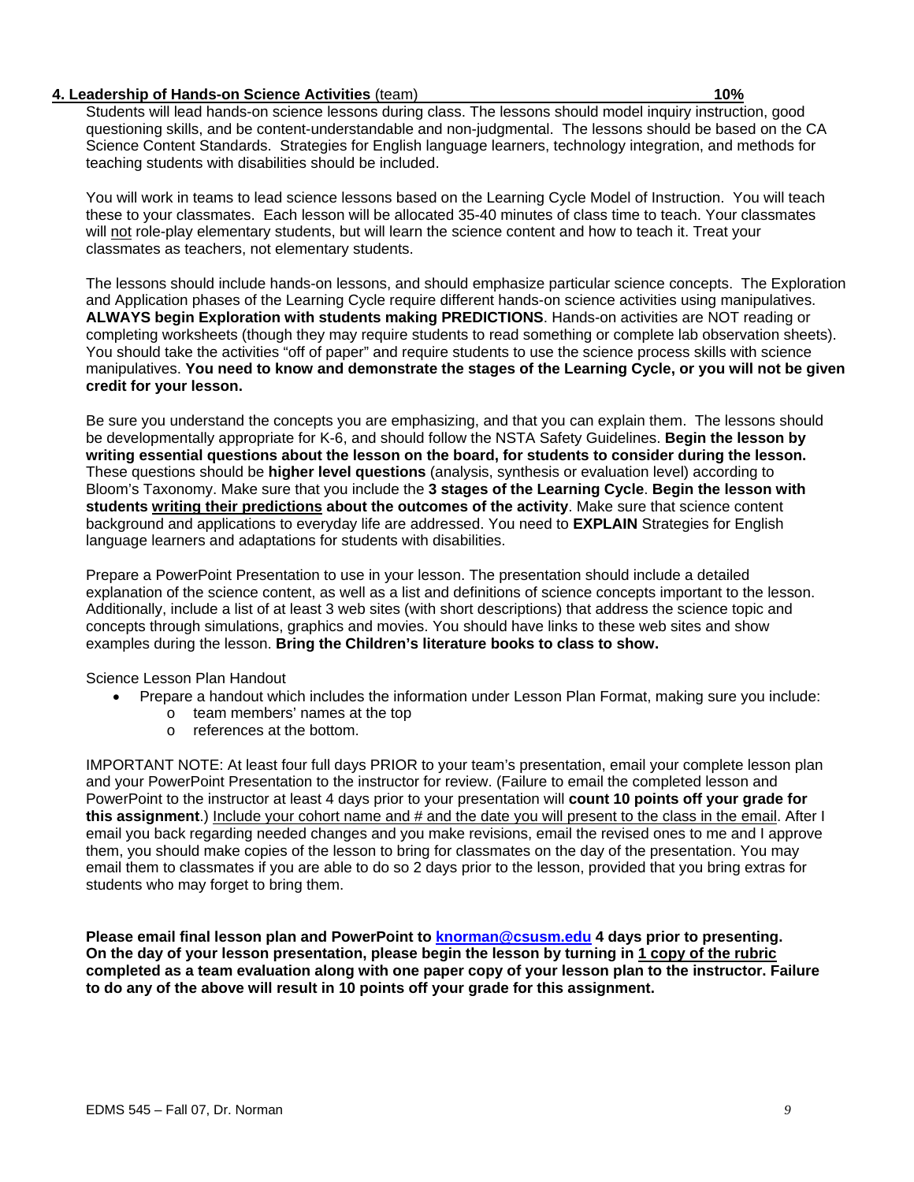#### **4. Leadership of Hands-on Science Activities** (team) **10%**

Students will lead hands-on science lessons during class. The lessons should model inquiry instruction, good questioning skills, and be content-understandable and non-judgmental. The lessons should be based on the CA Science Content Standards. Strategies for English language learners, technology integration, and methods for teaching students with disabilities should be included.

You will work in teams to lead science lessons based on the Learning Cycle Model of Instruction. You will teach these to your classmates. Each lesson will be allocated 35-40 minutes of class time to teach. Your classmates will not role-play elementary students, but will learn the science content and how to teach it. Treat your classmates as teachers, not elementary students.

The lessons should include hands-on lessons, and should emphasize particular science concepts. The Exploration and Application phases of the Learning Cycle require different hands-on science activities using manipulatives. **ALWAYS begin Exploration with students making PREDICTIONS**. Hands-on activities are NOT reading or completing worksheets (though they may require students to read something or complete lab observation sheets). You should take the activities "off of paper" and require students to use the science process skills with science manipulatives. **You need to know and demonstrate the stages of the Learning Cycle, or you will not be given credit for your lesson.**

Be sure you understand the concepts you are emphasizing, and that you can explain them. The lessons should be developmentally appropriate for K-6, and should follow the NSTA Safety Guidelines. **Begin the lesson by writing essential questions about the lesson on the board, for students to consider during the lesson.**  These questions should be **higher level questions** (analysis, synthesis or evaluation level) according to Bloom's Taxonomy. Make sure that you include the **3 stages of the Learning Cycle**. **Begin the lesson with students writing their predictions about the outcomes of the activity**. Make sure that science content background and applications to everyday life are addressed. You need to **EXPLAIN** Strategies for English language learners and adaptations for students with disabilities.

Prepare a PowerPoint Presentation to use in your lesson. The presentation should include a detailed explanation of the science content, as well as a list and definitions of science concepts important to the lesson. Additionally, include a list of at least 3 web sites (with short descriptions) that address the science topic and concepts through simulations, graphics and movies. You should have links to these web sites and show examples during the lesson. **Bring the Children's literature books to class to show.**

Science Lesson Plan Handout

- Prepare a handout which includes the information under Lesson Plan Format, making sure you include:
	- o team members' names at the top
	- o references at the bottom.

IMPORTANT NOTE: At least four full days PRIOR to your team's presentation, email your complete lesson plan and your PowerPoint Presentation to the instructor for review. (Failure to email the completed lesson and PowerPoint to the instructor at least 4 days prior to your presentation will **count 10 points off your grade for this assignment**.) Include your cohort name and # and the date you will present to the class in the email. After I email you back regarding needed changes and you make revisions, email the revised ones to me and I approve them, you should make copies of the lesson to bring for classmates on the day of the presentation. You may email them to classmates if you are able to do so 2 days prior to the lesson, provided that you bring extras for students who may forget to bring them.

**Please email final lesson plan and PowerPoint to knorman@csusm.edu 4 days prior to presenting. On the day of your lesson presentation, please begin the lesson by turning in 1 copy of the rubric completed as a team evaluation along with one paper copy of your lesson plan to the instructor. Failure to do any of the above will result in 10 points off your grade for this assignment.**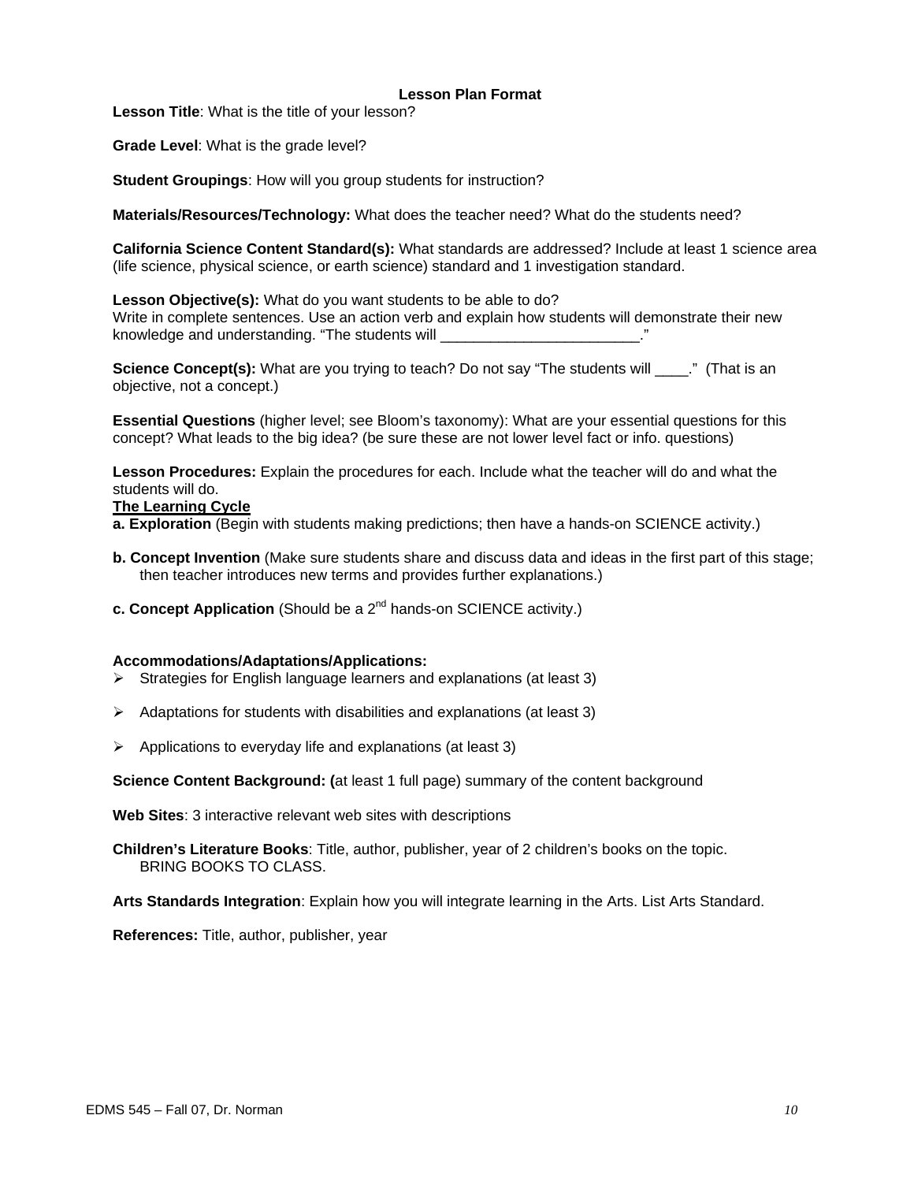#### **Lesson Plan Format**

**Lesson Title**: What is the title of your lesson?

**Grade Level**: What is the grade level?

**Student Groupings**: How will you group students for instruction?

**Materials/Resources/Technology:** What does the teacher need? What do the students need?

**California Science Content Standard(s):** What standards are addressed? Include at least 1 science area (life science, physical science, or earth science) standard and 1 investigation standard.

**Lesson Objective(s):** What do you want students to be able to do? Write in complete sentences. Use an action verb and explain how students will demonstrate their new knowledge and understanding. "The students will

**Science Concept(s):** What are you trying to teach? Do not say "The students will \_\_\_\_." (That is an objective, not a concept.)

**Essential Questions** (higher level; see Bloom's taxonomy): What are your essential questions for this concept? What leads to the big idea? (be sure these are not lower level fact or info. questions)

**Lesson Procedures:** Explain the procedures for each. Include what the teacher will do and what the students will do.

#### **The Learning Cycle**

**a. Exploration** (Begin with students making predictions; then have a hands-on SCIENCE activity.)

- **b. Concept Invention** (Make sure students share and discuss data and ideas in the first part of this stage; then teacher introduces new terms and provides further explanations.)
- **c. Concept Application** (Should be a 2<sup>nd</sup> hands-on SCIENCE activity.)

#### **Accommodations/Adaptations/Applications:**

- $\triangleright$  Strategies for English language learners and explanations (at least 3)
- $\triangleright$  Adaptations for students with disabilities and explanations (at least 3)
- $\triangleright$  Applications to everyday life and explanations (at least 3)

**Science Content Background: (**at least 1 full page) summary of the content background

**Web Sites**: 3 interactive relevant web sites with descriptions

**Children's Literature Books**: Title, author, publisher, year of 2 children's books on the topic. BRING BOOKS TO CLASS.

**Arts Standards Integration**: Explain how you will integrate learning in the Arts. List Arts Standard.

**References:** Title, author, publisher, year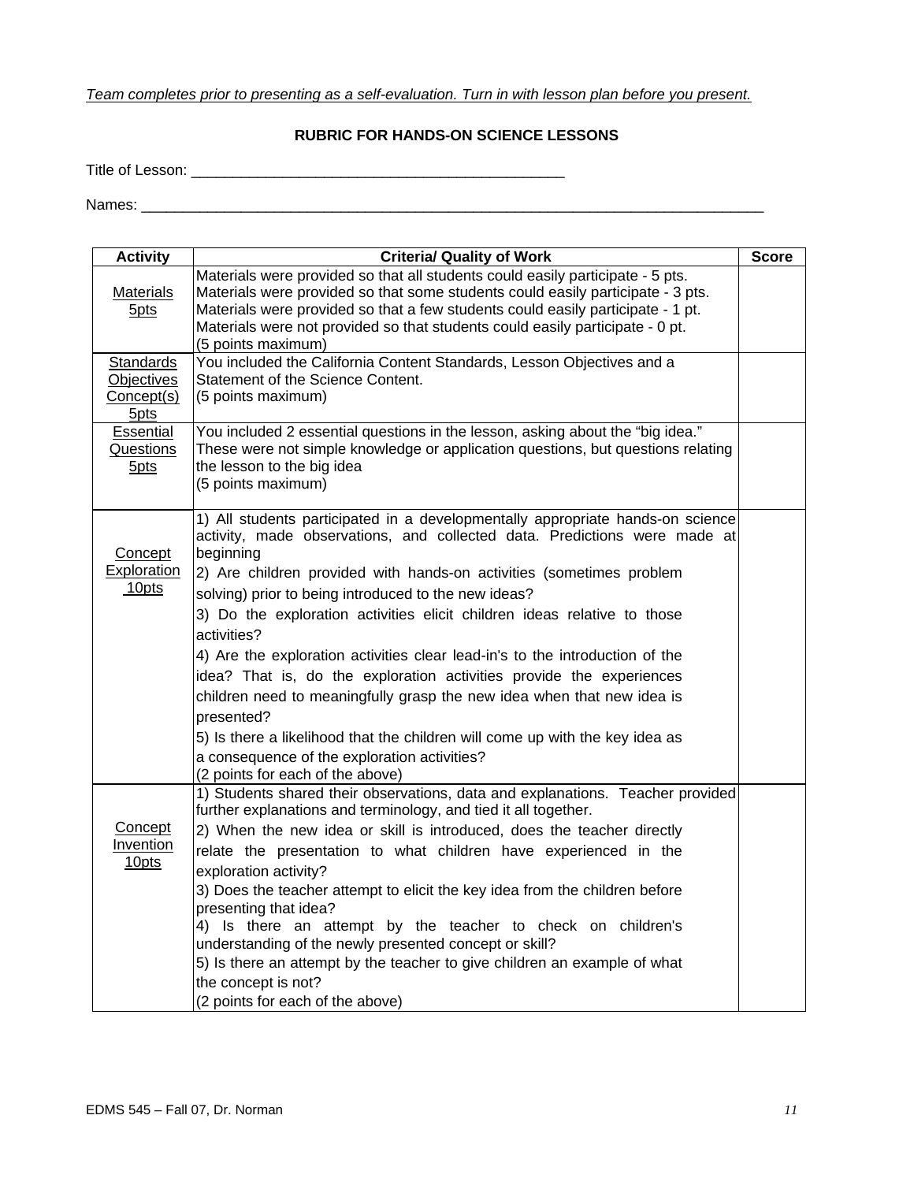# *Team completes prior to presenting as a self-evaluation. Turn in with lesson plan before you present.*

#### **RUBRIC FOR HANDS-ON SCIENCE LESSONS**

Title of Lesson: \_\_\_\_\_\_\_\_\_\_\_\_\_\_\_\_\_\_\_\_\_\_\_\_\_\_\_\_\_\_\_\_\_\_\_\_\_\_\_\_\_\_\_\_\_

Names: \_\_\_\_\_\_\_\_\_\_\_\_\_\_\_\_\_\_\_\_\_\_\_\_\_\_\_\_\_\_\_\_\_\_\_\_\_\_\_\_\_\_\_\_\_\_\_\_\_\_\_\_\_\_\_\_\_\_\_\_\_\_\_\_\_\_\_\_\_\_\_\_\_\_\_

| <b>Activity</b>                                      | <b>Criteria/ Quality of Work</b>                                                                                                                                                                                                                                                                                                                                                                                                                                                                                                                                                                                                                                                                                                                                                                                        | <b>Score</b> |
|------------------------------------------------------|-------------------------------------------------------------------------------------------------------------------------------------------------------------------------------------------------------------------------------------------------------------------------------------------------------------------------------------------------------------------------------------------------------------------------------------------------------------------------------------------------------------------------------------------------------------------------------------------------------------------------------------------------------------------------------------------------------------------------------------------------------------------------------------------------------------------------|--------------|
| <b>Materials</b><br>5 <sub>pts</sub>                 | Materials were provided so that all students could easily participate - 5 pts.<br>Materials were provided so that some students could easily participate - 3 pts.<br>Materials were provided so that a few students could easily participate - 1 pt.<br>Materials were not provided so that students could easily participate - 0 pt.<br>(5 points maximum)                                                                                                                                                                                                                                                                                                                                                                                                                                                             |              |
| <b>Standards</b><br>Objectives<br>Concept(s)<br>5pts | You included the California Content Standards, Lesson Objectives and a<br>Statement of the Science Content.<br>(5 points maximum)                                                                                                                                                                                                                                                                                                                                                                                                                                                                                                                                                                                                                                                                                       |              |
| Essential<br>Questions<br>5 <sub>pts</sub>           | You included 2 essential questions in the lesson, asking about the "big idea."<br>These were not simple knowledge or application questions, but questions relating<br>the lesson to the big idea<br>(5 points maximum)                                                                                                                                                                                                                                                                                                                                                                                                                                                                                                                                                                                                  |              |
| Concept<br>Exploration<br>10pts                      | 1) All students participated in a developmentally appropriate hands-on science<br>activity, made observations, and collected data. Predictions were made at<br>beginning<br>2) Are children provided with hands-on activities (sometimes problem<br>solving) prior to being introduced to the new ideas?<br>3) Do the exploration activities elicit children ideas relative to those<br>activities?<br>4) Are the exploration activities clear lead-in's to the introduction of the<br>idea? That is, do the exploration activities provide the experiences<br>children need to meaningfully grasp the new idea when that new idea is<br>presented?<br>5) Is there a likelihood that the children will come up with the key idea as<br>a consequence of the exploration activities?<br>(2 points for each of the above) |              |
| Concept<br>Invention<br>10pts                        | 1) Students shared their observations, data and explanations. Teacher provided<br>further explanations and terminology, and tied it all together.<br>2) When the new idea or skill is introduced, does the teacher directly<br>relate the presentation to what children have experienced in the<br>exploration activity?<br>3) Does the teacher attempt to elicit the key idea from the children before<br>presenting that idea?<br>4) Is there an attempt by the teacher to check on children's<br>understanding of the newly presented concept or skill?<br>5) Is there an attempt by the teacher to give children an example of what<br>the concept is not?<br>(2 points for each of the above)                                                                                                                      |              |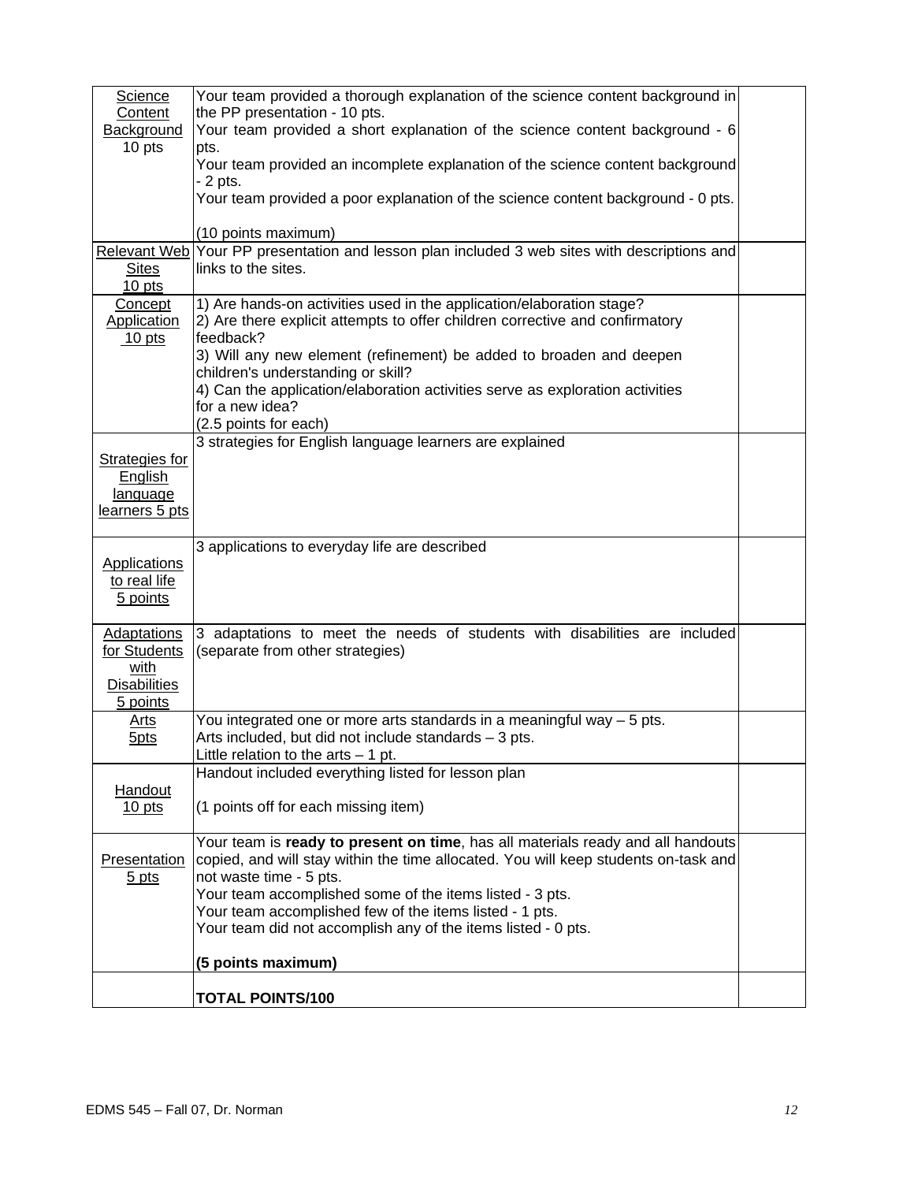| Science<br>Content           | Your team provided a thorough explanation of the science content background in<br>the PP presentation - 10 pts.     |  |
|------------------------------|---------------------------------------------------------------------------------------------------------------------|--|
| Background<br>10 pts         | Your team provided a short explanation of the science content background - 6<br>pts.                                |  |
|                              | Your team provided an incomplete explanation of the science content background<br>- 2 pts.                          |  |
|                              | Your team provided a poor explanation of the science content background - 0 pts.                                    |  |
|                              | (10 points maximum)                                                                                                 |  |
| <b>Sites</b>                 | Relevant Web Your PP presentation and lesson plan included 3 web sites with descriptions and<br>links to the sites. |  |
| $10$ pts                     |                                                                                                                     |  |
| Concept                      | 1) Are hands-on activities used in the application/elaboration stage?                                               |  |
| <b>Application</b><br>10 pts | 2) Are there explicit attempts to offer children corrective and confirmatory<br>feedback?                           |  |
|                              | 3) Will any new element (refinement) be added to broaden and deepen<br>children's understanding or skill?           |  |
|                              | 4) Can the application/elaboration activities serve as exploration activities                                       |  |
|                              | for a new idea?                                                                                                     |  |
|                              | (2.5 points for each)<br>3 strategies for English language learners are explained                                   |  |
| <b>Strategies for</b>        |                                                                                                                     |  |
| English                      |                                                                                                                     |  |
| language<br>learners 5 pts   |                                                                                                                     |  |
|                              |                                                                                                                     |  |
| <b>Applications</b>          | 3 applications to everyday life are described                                                                       |  |
| to real life                 |                                                                                                                     |  |
| 5 points                     |                                                                                                                     |  |
| <b>Adaptations</b>           | 3 adaptations to meet the needs of students with disabilities are included                                          |  |
| for Students<br>with         | (separate from other strategies)                                                                                    |  |
| <b>Disabilities</b>          |                                                                                                                     |  |
| 5 points<br><u>Arts</u>      | You integrated one or more arts standards in a meaningful way - 5 pts.                                              |  |
| 5 <sub>pts</sub>             | Arts included, but did not include standards - 3 pts.                                                               |  |
|                              | Little relation to the $arts - 1 pt$ .                                                                              |  |
| Handout                      | Handout included everything listed for lesson plan                                                                  |  |
| <u>10 pts</u>                | (1 points off for each missing item)                                                                                |  |
|                              | Your team is ready to present on time, has all materials ready and all handouts                                     |  |
| Presentation                 | copied, and will stay within the time allocated. You will keep students on-task and                                 |  |
| $5$ pts                      | not waste time - 5 pts.                                                                                             |  |
|                              | Your team accomplished some of the items listed - 3 pts.<br>Your team accomplished few of the items listed - 1 pts. |  |
|                              | Your team did not accomplish any of the items listed - 0 pts.                                                       |  |
|                              | (5 points maximum)                                                                                                  |  |
|                              |                                                                                                                     |  |
|                              | <b>TOTAL POINTS/100</b>                                                                                             |  |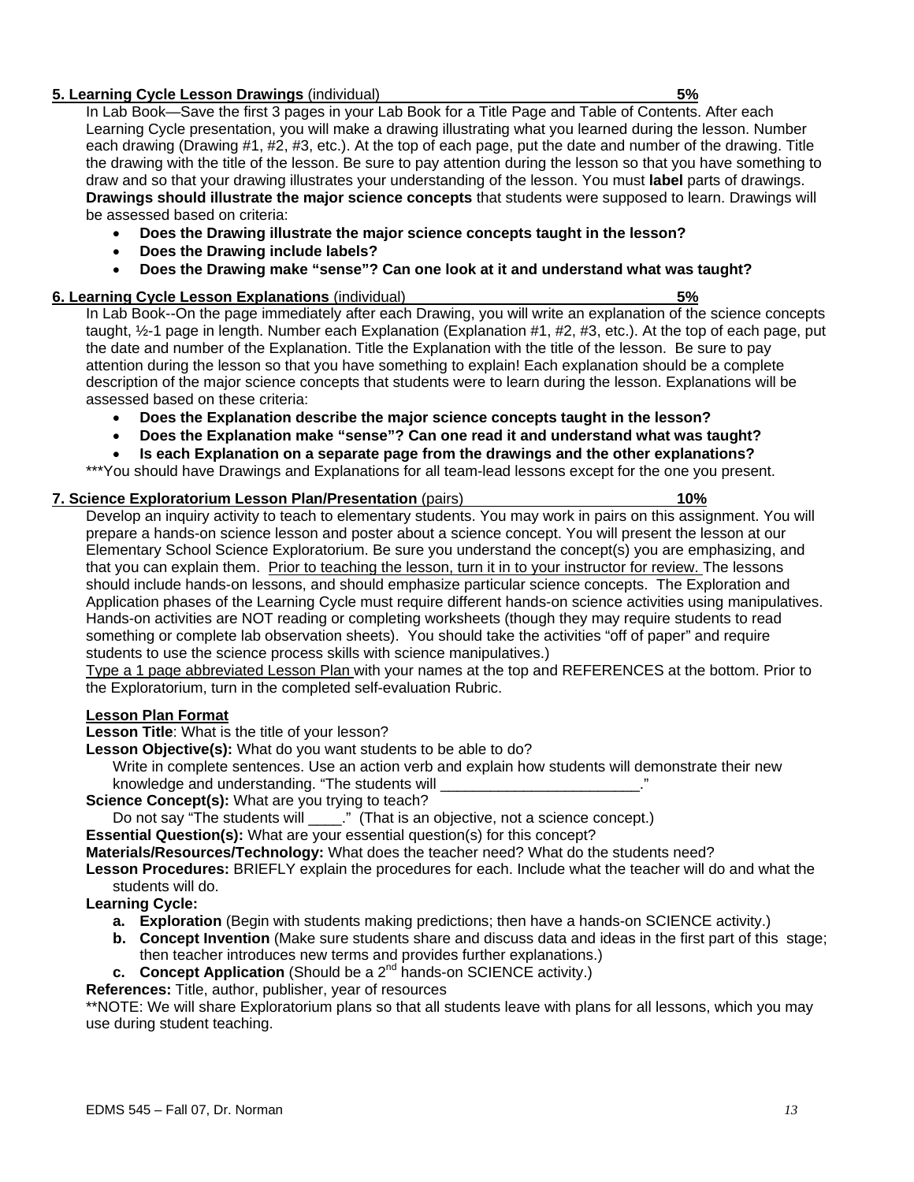## **5. Learning Cycle Lesson Drawings** (individual) **5%**

In Lab Book—Save the first 3 pages in your Lab Book for a Title Page and Table of Contents. After each Learning Cycle presentation, you will make a drawing illustrating what you learned during the lesson. Number each drawing (Drawing #1, #2, #3, etc.). At the top of each page, put the date and number of the drawing. Title the drawing with the title of the lesson. Be sure to pay attention during the lesson so that you have something to draw and so that your drawing illustrates your understanding of the lesson. You must **label** parts of drawings. **Drawings should illustrate the major science concepts** that students were supposed to learn. Drawings will be assessed based on criteria:

- **Does the Drawing illustrate the major science concepts taught in the lesson?**
- **Does the Drawing include labels?**
- **Does the Drawing make "sense"? Can one look at it and understand what was taught?**

# **6. Learning Cycle Lesson Explanations** (individual) **5%**

In Lab Book--On the page immediately after each Drawing, you will write an explanation of the science concepts taught, ½-1 page in length. Number each Explanation (Explanation #1, #2, #3, etc.). At the top of each page, put the date and number of the Explanation. Title the Explanation with the title of the lesson. Be sure to pay attention during the lesson so that you have something to explain! Each explanation should be a complete description of the major science concepts that students were to learn during the lesson. Explanations will be assessed based on these criteria:

- **Does the Explanation describe the major science concepts taught in the lesson?**
- **Does the Explanation make "sense"? Can one read it and understand what was taught?**
- **Is each Explanation on a separate page from the drawings and the other explanations?**

\*\*\*You should have Drawings and Explanations for all team-lead lessons except for the one you present.

# **7. Science Exploratorium Lesson Plan/Presentation** (pairs) **10%**

Develop an inquiry activity to teach to elementary students. You may work in pairs on this assignment. You will prepare a hands-on science lesson and poster about a science concept. You will present the lesson at our Elementary School Science Exploratorium. Be sure you understand the concept(s) you are emphasizing, and that you can explain them. Prior to teaching the lesson, turn it in to your instructor for review. The lessons should include hands-on lessons, and should emphasize particular science concepts. The Exploration and Application phases of the Learning Cycle must require different hands-on science activities using manipulatives. Hands-on activities are NOT reading or completing worksheets (though they may require students to read something or complete lab observation sheets). You should take the activities "off of paper" and require students to use the science process skills with science manipulatives.)

Type a 1 page abbreviated Lesson Plan with your names at the top and REFERENCES at the bottom. Prior to the Exploratorium, turn in the completed self-evaluation Rubric.

# **Lesson Plan Format**

**Lesson Title**: What is the title of your lesson?

**Lesson Objective(s):** What do you want students to be able to do?

 Write in complete sentences. Use an action verb and explain how students will demonstrate their new knowledge and understanding. "The students will

**Science Concept(s):** What are you trying to teach?

Do not say "The students will \_\_\_\_." (That is an objective, not a science concept.)

**Essential Question(s):** What are your essential question(s) for this concept?

**Materials/Resources/Technology:** What does the teacher need? What do the students need?

**Lesson Procedures:** BRIEFLY explain the procedures for each. Include what the teacher will do and what the students will do.

**Learning Cycle:** 

- **a. Exploration** (Begin with students making predictions; then have a hands-on SCIENCE activity.)
- **b. Concept Invention** (Make sure students share and discuss data and ideas in the first part of this stage; then teacher introduces new terms and provides further explanations.)
- **c.** Concept Application (Should be a 2<sup>nd</sup> hands-on SCIENCE activity.)

**References:** Title, author, publisher, year of resources

\*\*NOTE: We will share Exploratorium plans so that all students leave with plans for all lessons, which you may use during student teaching.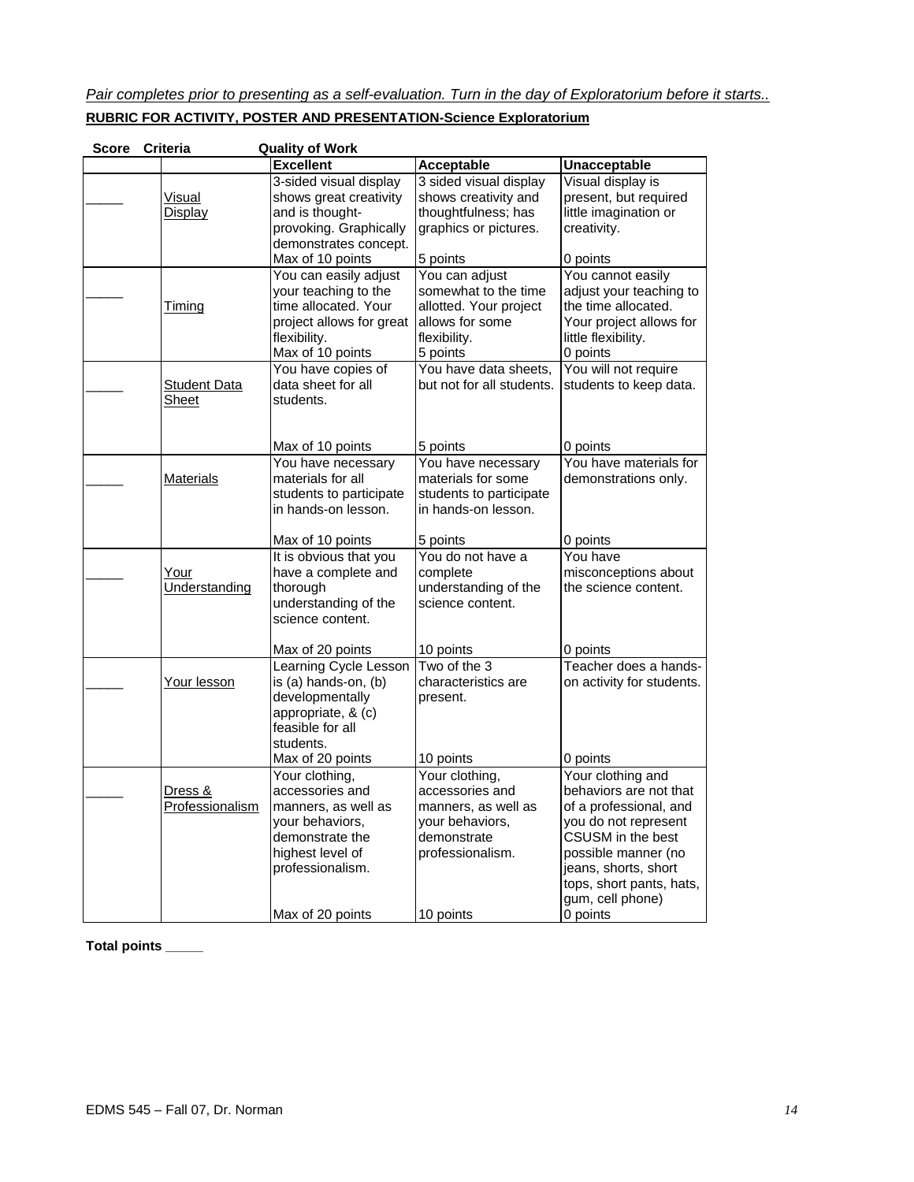*Pair completes prior to presenting as a self-evaluation. Turn in the day of Exploratorium before it starts..* **RUBRIC FOR ACTIVITY, POSTER AND PRESENTATION-Science Exploratorium**

| <b>Score</b> | <b>Criteria</b>            | <b>Quality of Work</b>                                                                                                                 |                                                                                                                 |                                                                                                                                                                                                                   |
|--------------|----------------------------|----------------------------------------------------------------------------------------------------------------------------------------|-----------------------------------------------------------------------------------------------------------------|-------------------------------------------------------------------------------------------------------------------------------------------------------------------------------------------------------------------|
|              |                            | <b>Excellent</b>                                                                                                                       | Acceptable                                                                                                      | Unacceptable                                                                                                                                                                                                      |
|              | <u>Visual</u><br>Display   | 3-sided visual display<br>shows great creativity<br>and is thought-<br>provoking. Graphically<br>demonstrates concept.                 | 3 sided visual display<br>shows creativity and<br>thoughtfulness; has<br>graphics or pictures.                  | Visual display is<br>present, but required<br>little imagination or<br>creativity.                                                                                                                                |
|              |                            | Max of 10 points                                                                                                                       | 5 points                                                                                                        | 0 points                                                                                                                                                                                                          |
|              | <u>Timing</u>              | You can easily adjust<br>your teaching to the<br>time allocated. Your<br>project allows for great<br>flexibility.<br>Max of 10 points  | You can adjust<br>somewhat to the time<br>allotted. Your project<br>allows for some<br>flexibility.<br>5 points | You cannot easily<br>adjust your teaching to<br>the time allocated.<br>Your project allows for<br>little flexibility.<br>0 points                                                                                 |
|              | Student Data<br>Sheet      | You have copies of<br>data sheet for all<br>students.                                                                                  | You have data sheets,<br>but not for all students.                                                              | You will not require<br>students to keep data.                                                                                                                                                                    |
|              |                            | Max of 10 points                                                                                                                       | 5 points                                                                                                        | 0 points                                                                                                                                                                                                          |
|              | <b>Materials</b>           | You have necessary<br>materials for all<br>students to participate<br>in hands-on lesson.                                              | You have necessary<br>materials for some<br>students to participate<br>in hands-on lesson.                      | You have materials for<br>demonstrations only.                                                                                                                                                                    |
|              |                            | Max of 10 points                                                                                                                       | 5 points                                                                                                        | 0 points                                                                                                                                                                                                          |
|              | Your<br>Understanding      | It is obvious that you<br>have a complete and<br>thorough<br>understanding of the<br>science content.                                  | You do not have a<br>complete<br>understanding of the<br>science content.                                       | You have<br>misconceptions about<br>the science content.                                                                                                                                                          |
|              |                            | Max of 20 points                                                                                                                       | 10 points                                                                                                       | 0 points                                                                                                                                                                                                          |
|              | Your lesson                | Learning Cycle Lesson<br>is (a) hands-on, (b)<br>developmentally<br>appropriate, & (c)<br>feasible for all<br>students.                | Two of the 3<br>characteristics are<br>present.                                                                 | Teacher does a hands-<br>on activity for students.                                                                                                                                                                |
|              |                            | Max of 20 points                                                                                                                       | 10 points                                                                                                       | 0 points                                                                                                                                                                                                          |
|              | Dress &<br>Professionalism | Your clothing,<br>accessories and<br>manners, as well as<br>your behaviors,<br>demonstrate the<br>highest level of<br>professionalism. | Your clothing,<br>accessories and<br>manners, as well as<br>your behaviors,<br>demonstrate<br>professionalism.  | Your clothing and<br>behaviors are not that<br>of a professional, and<br>you do not represent<br>CSUSM in the best<br>possible manner (no<br>jeans, shorts, short<br>tops, short pants, hats,<br>gum, cell phone) |
|              |                            | Max of 20 points                                                                                                                       | 10 points                                                                                                       | 0 points                                                                                                                                                                                                          |

**Total points \_\_\_\_\_**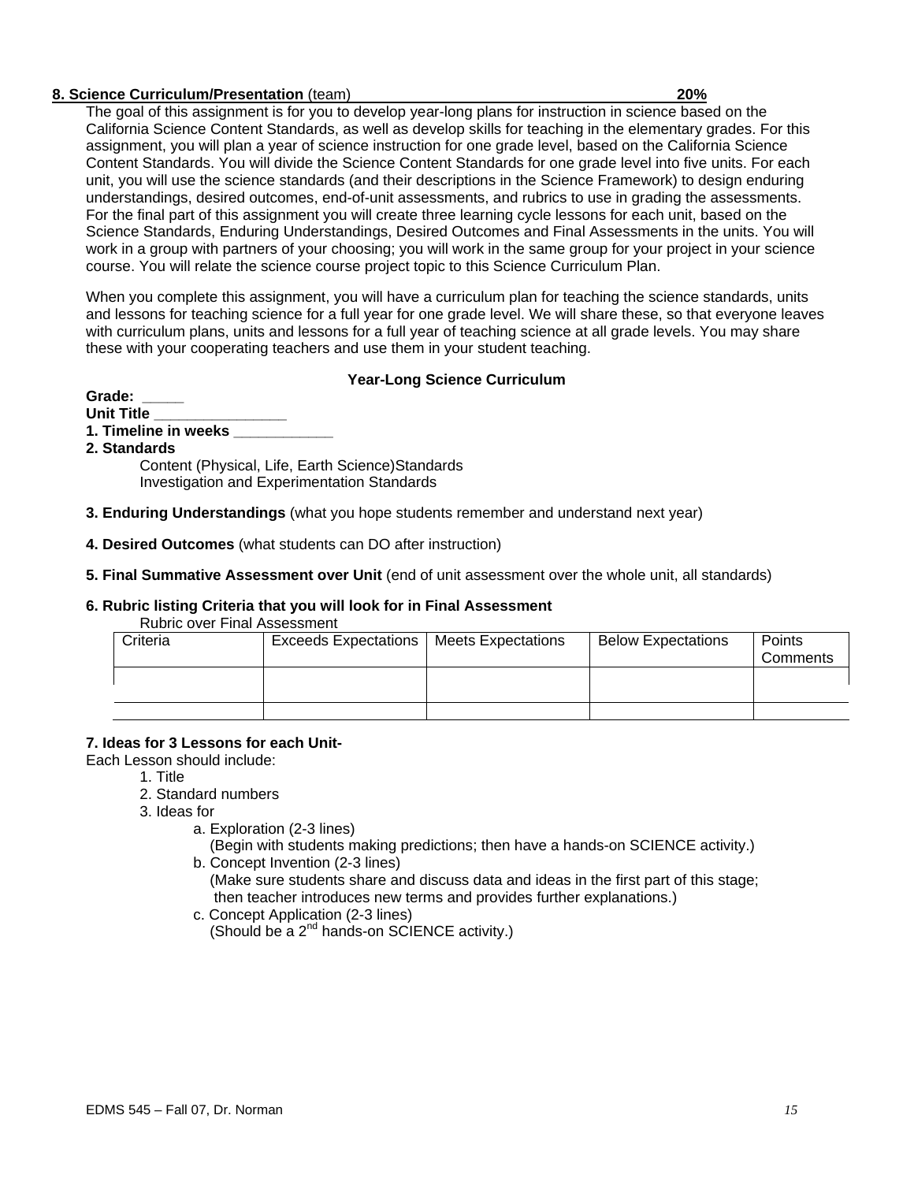#### **8. Science Curriculum/Presentation** (team) **20%**

The goal of this assignment is for you to develop year-long plans for instruction in science based on the California Science Content Standards, as well as develop skills for teaching in the elementary grades. For this assignment, you will plan a year of science instruction for one grade level, based on the California Science Content Standards. You will divide the Science Content Standards for one grade level into five units. For each unit, you will use the science standards (and their descriptions in the Science Framework) to design enduring understandings, desired outcomes, end-of-unit assessments, and rubrics to use in grading the assessments. For the final part of this assignment you will create three learning cycle lessons for each unit, based on the Science Standards, Enduring Understandings, Desired Outcomes and Final Assessments in the units. You will work in a group with partners of your choosing; you will work in the same group for your project in your science course. You will relate the science course project topic to this Science Curriculum Plan.

When you complete this assignment, you will have a curriculum plan for teaching the science standards, units and lessons for teaching science for a full year for one grade level. We will share these, so that everyone leaves with curriculum plans, units and lessons for a full year of teaching science at all grade levels. You may share these with your cooperating teachers and use them in your student teaching.

# **Year-Long Science Curriculum**

**Grade: \_\_\_\_\_** 

- **Unit Title \_\_\_\_\_\_\_\_\_\_\_\_\_\_\_\_**
- **1. Timeline in weeks \_\_\_\_\_\_\_\_\_\_\_\_**
- **2. Standards**

Content (Physical, Life, Earth Science)Standards Investigation and Experimentation Standards

- **3. Enduring Understandings** (what you hope students remember and understand next year)
- **4. Desired Outcomes** (what students can DO after instruction)

#### **5. Final Summative Assessment over Unit** (end of unit assessment over the whole unit, all standards)

#### **6. Rubric listing Criteria that you will look for in Final Assessment**

Rubric over Final Assessment

| Criteria | <b>Exceeds Expectations</b> | <b>Meets Expectations</b> | <b>Below Expectations</b> | Points<br>Comments |
|----------|-----------------------------|---------------------------|---------------------------|--------------------|
|          |                             |                           |                           |                    |
|          |                             |                           |                           |                    |

# **7. Ideas for 3 Lessons for each Unit-**

Each Lesson should include:

1. Title

- 2. Standard numbers
- 3. Ideas for

a. Exploration (2-3 lines)

 (Begin with students making predictions; then have a hands-on SCIENCE activity.) b. Concept Invention (2-3 lines)

- (Make sure students share and discuss data and ideas in the first part of this stage; then teacher introduces new terms and provides further explanations.)
- c. Concept Application (2-3 lines) (Should be a  $2^{nd}$  hands-on SCIENCE activity.)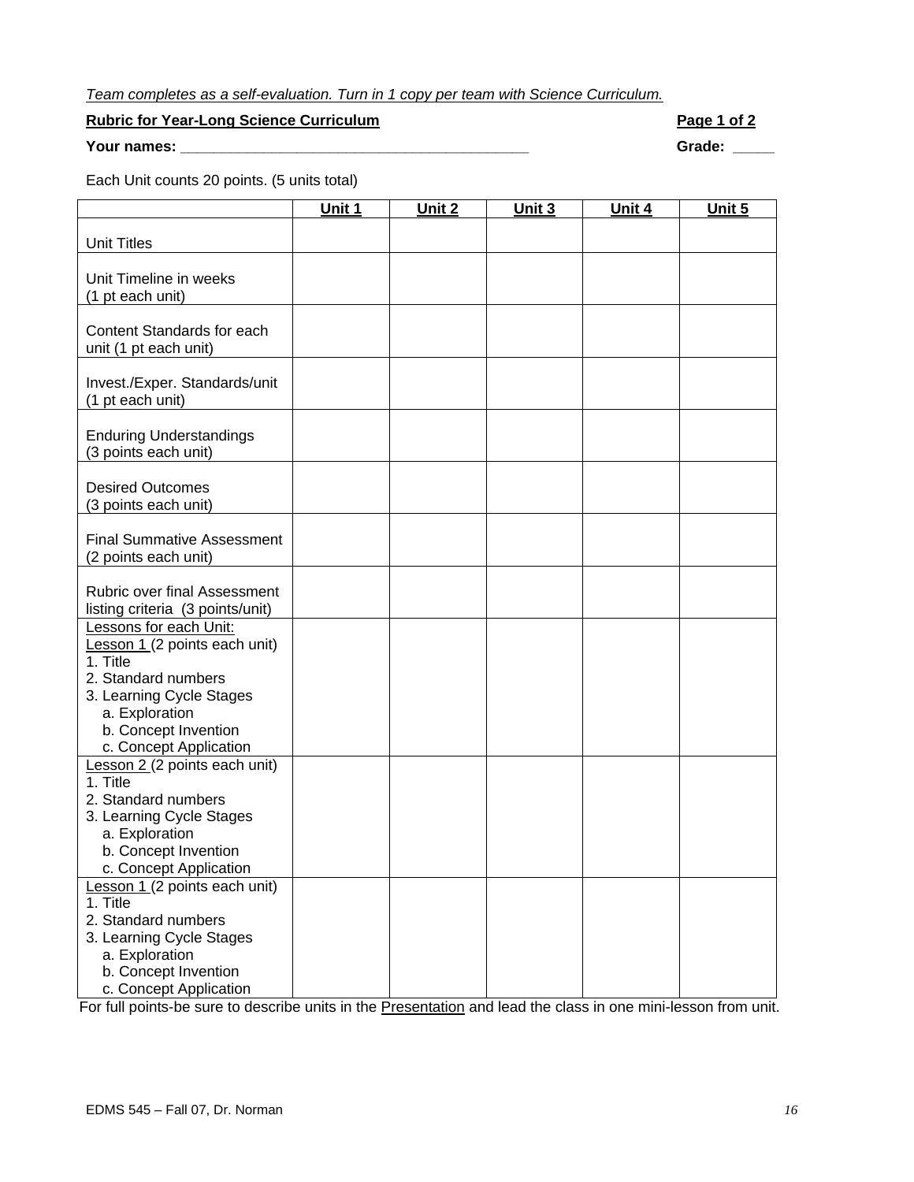# *Team completes as a self-evaluation. Turn in 1 copy per team with Science Curriculum.*

## **Rubric for Year-Long Science Curriculum**  All and the state of the Page 1 of 2

**Your names: \_\_\_\_\_\_\_\_\_\_\_\_\_\_\_\_\_\_\_\_\_\_\_\_\_\_\_\_\_\_\_\_\_\_\_\_\_\_\_\_\_\_ Grade: \_\_\_\_\_** 

Each Unit counts 20 points. (5 units total)

|                                                         | Unit 1 | Unit 2 | Unit 3 | Unit 4 | Unit 5 |
|---------------------------------------------------------|--------|--------|--------|--------|--------|
| <b>Unit Titles</b>                                      |        |        |        |        |        |
|                                                         |        |        |        |        |        |
| Unit Timeline in weeks                                  |        |        |        |        |        |
| (1 pt each unit)                                        |        |        |        |        |        |
| Content Standards for each                              |        |        |        |        |        |
| unit (1 pt each unit)                                   |        |        |        |        |        |
|                                                         |        |        |        |        |        |
| Invest./Exper. Standards/unit                           |        |        |        |        |        |
| (1 pt each unit)                                        |        |        |        |        |        |
|                                                         |        |        |        |        |        |
| <b>Enduring Understandings</b>                          |        |        |        |        |        |
| (3 points each unit)                                    |        |        |        |        |        |
| <b>Desired Outcomes</b>                                 |        |        |        |        |        |
| (3 points each unit)                                    |        |        |        |        |        |
|                                                         |        |        |        |        |        |
| <b>Final Summative Assessment</b>                       |        |        |        |        |        |
| (2 points each unit)                                    |        |        |        |        |        |
| <b>Rubric over final Assessment</b>                     |        |        |        |        |        |
| listing criteria (3 points/unit)                        |        |        |        |        |        |
| Lessons for each Unit:                                  |        |        |        |        |        |
| Lesson 1 (2 points each unit)                           |        |        |        |        |        |
| 1. Title                                                |        |        |        |        |        |
| 2. Standard numbers                                     |        |        |        |        |        |
| 3. Learning Cycle Stages                                |        |        |        |        |        |
| a. Exploration                                          |        |        |        |        |        |
| b. Concept Invention<br>c. Concept Application          |        |        |        |        |        |
| Lesson 2 (2 points each unit)                           |        |        |        |        |        |
| 1. Title                                                |        |        |        |        |        |
| 2. Standard numbers                                     |        |        |        |        |        |
| 3. Learning Cycle Stages                                |        |        |        |        |        |
| a. Exploration                                          |        |        |        |        |        |
| b. Concept Invention                                    |        |        |        |        |        |
| c. Concept Application<br>Lesson 1 (2 points each unit) |        |        |        |        |        |
| 1. Title                                                |        |        |        |        |        |
| 2. Standard numbers                                     |        |        |        |        |        |
| 3. Learning Cycle Stages                                |        |        |        |        |        |
| a. Exploration                                          |        |        |        |        |        |
| b. Concept Invention                                    |        |        |        |        |        |
| c. Concept Application                                  |        |        |        |        |        |

For full points-be sure to describe units in the Presentation and lead the class in one mini-lesson from unit.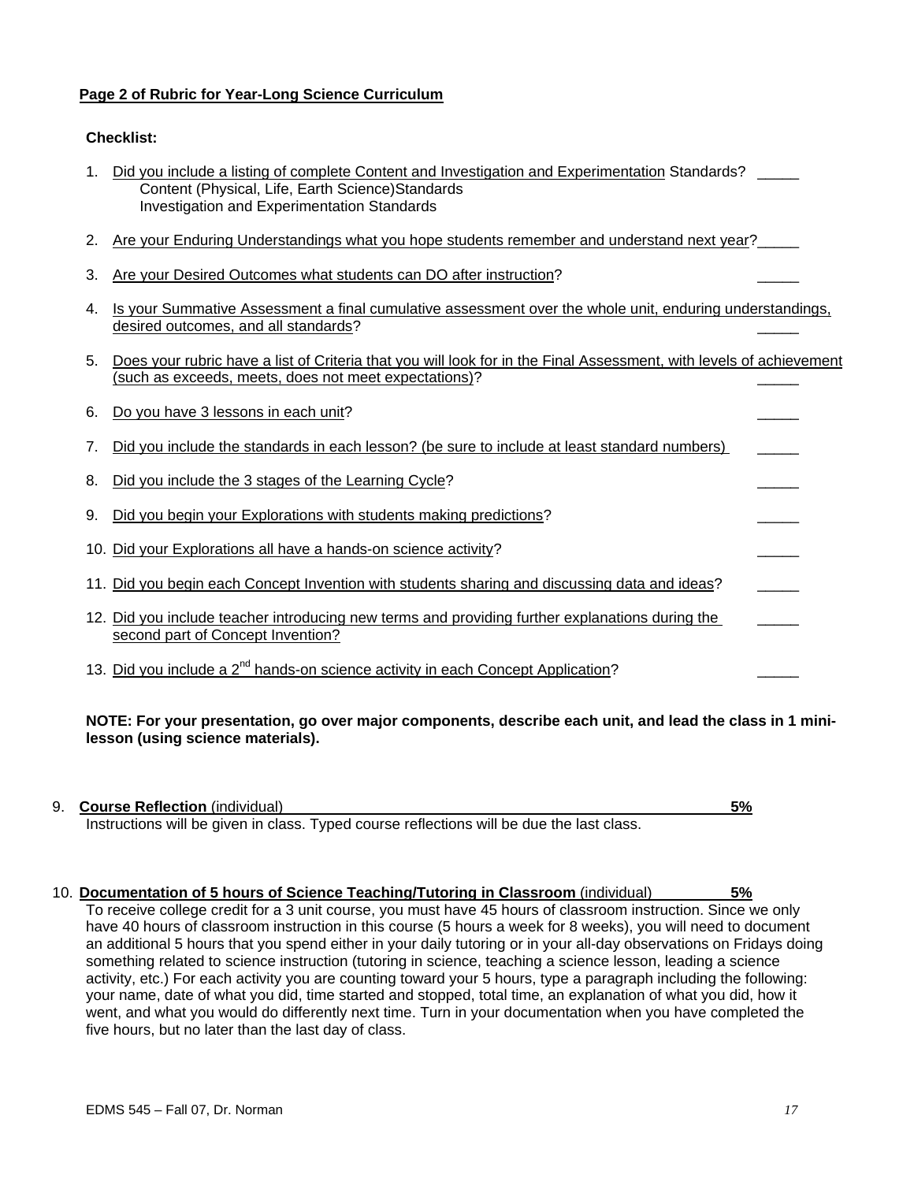# **Page 2 of Rubric for Year-Long Science Curriculum**

# **Checklist:**

| Did you include a listing of complete Content and Investigation and Experimentation Standards? |  |
|------------------------------------------------------------------------------------------------|--|
| Content (Physical, Life, Earth Science) Standards                                              |  |
| Investigation and Experimentation Standards                                                    |  |

- 2. Are your Enduring Understandings what you hope students remember and understand next year?
- 3. Are your Desired Outcomes what students can DO after instruction?
- 4. Is your Summative Assessment a final cumulative assessment over the whole unit, enduring understandings, desired outcomes, and all standards? \_\_\_\_\_
- 5. Does your rubric have a list of Criteria that you will look for in the Final Assessment, with levels of achievement (such as exceeds, meets, does not meet expectations)? \_\_\_\_\_

|    | 6. Do you have 3 lessons in each unit?                                                                                               |  |
|----|--------------------------------------------------------------------------------------------------------------------------------------|--|
| 7. | Did you include the standards in each lesson? (be sure to include at least standard numbers)                                         |  |
| 8. | Did you include the 3 stages of the Learning Cycle?                                                                                  |  |
| 9. | Did you begin your Explorations with students making predictions?                                                                    |  |
|    | 10. Did your Explorations all have a hands-on science activity?                                                                      |  |
|    | 11. Did you begin each Concept Invention with students sharing and discussing data and ideas?                                        |  |
|    | 12. Did you include teacher introducing new terms and providing further explanations during the<br>second part of Concept Invention? |  |
|    | 13. Did you include a 2 <sup>nd</sup> hands-on science activity in each Concept Application?                                         |  |

#### **NOTE: For your presentation, go over major components, describe each unit, and lead the class in 1 minilesson (using science materials).**

9. **Course Reflection** (individual) **5%**

Instructions will be given in class. Typed course reflections will be due the last class.

10. **Documentation of 5 hours of Science Teaching/Tutoring in Classroom** (individual) **5%** To receive college credit for a 3 unit course, you must have 45 hours of classroom instruction. Since we only have 40 hours of classroom instruction in this course (5 hours a week for 8 weeks), you will need to document an additional 5 hours that you spend either in your daily tutoring or in your all-day observations on Fridays doing something related to science instruction (tutoring in science, teaching a science lesson, leading a science activity, etc.) For each activity you are counting toward your 5 hours, type a paragraph including the following: your name, date of what you did, time started and stopped, total time, an explanation of what you did, how it went, and what you would do differently next time. Turn in your documentation when you have completed the five hours, but no later than the last day of class.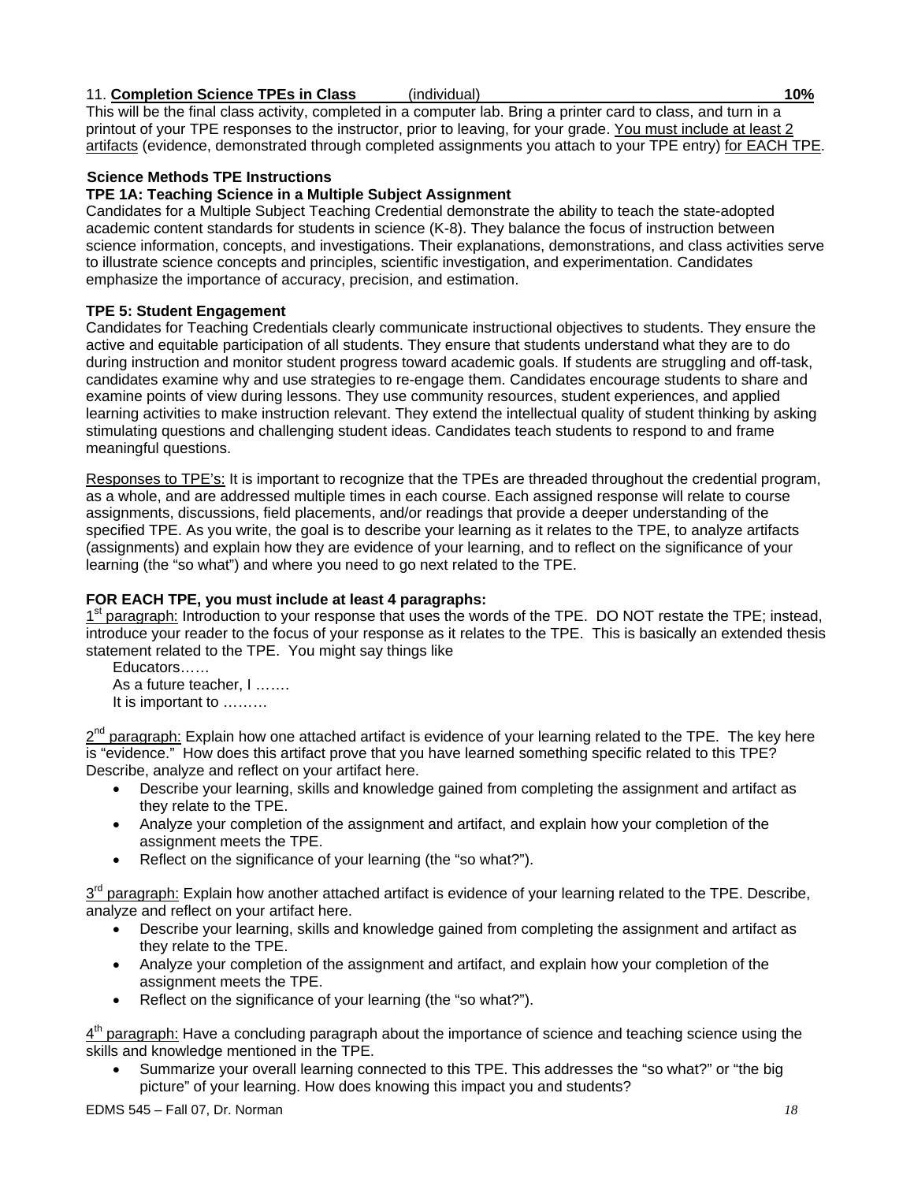## 11. **Completion Science TPEs in Class** (individual) **10%**

This will be the final class activity, completed in a computer lab. Bring a printer card to class, and turn in a printout of your TPE responses to the instructor, prior to leaving, for your grade. You must include at least 2 artifacts (evidence, demonstrated through completed assignments you attach to your TPE entry) for EACH TPE.

## **Science Methods TPE Instructions**

# **TPE 1A: Teaching Science in a Multiple Subject Assignment**

Candidates for a Multiple Subject Teaching Credential demonstrate the ability to teach the state-adopted academic content standards for students in science (K-8). They balance the focus of instruction between science information, concepts, and investigations. Their explanations, demonstrations, and class activities serve to illustrate science concepts and principles, scientific investigation, and experimentation. Candidates emphasize the importance of accuracy, precision, and estimation.

#### **TPE 5: Student Engagement**

Candidates for Teaching Credentials clearly communicate instructional objectives to students. They ensure the active and equitable participation of all students. They ensure that students understand what they are to do during instruction and monitor student progress toward academic goals. If students are struggling and off-task, candidates examine why and use strategies to re-engage them. Candidates encourage students to share and examine points of view during lessons. They use community resources, student experiences, and applied learning activities to make instruction relevant. They extend the intellectual quality of student thinking by asking stimulating questions and challenging student ideas. Candidates teach students to respond to and frame meaningful questions.

Responses to TPE's: It is important to recognize that the TPEs are threaded throughout the credential program, as a whole, and are addressed multiple times in each course. Each assigned response will relate to course assignments, discussions, field placements, and/or readings that provide a deeper understanding of the specified TPE. As you write, the goal is to describe your learning as it relates to the TPE, to analyze artifacts (assignments) and explain how they are evidence of your learning, and to reflect on the significance of your learning (the "so what") and where you need to go next related to the TPE.

## **FOR EACH TPE, you must include at least 4 paragraphs:**

1<sup>st</sup> paragraph: Introduction to your response that uses the words of the TPE. DO NOT restate the TPE; instead, introduce your reader to the focus of your response as it relates to the TPE. This is basically an extended thesis statement related to the TPE. You might say things like

Educators…… As a future teacher, I ……. It is important to ………

2<sup>nd</sup> paragraph: Explain how one attached artifact is evidence of your learning related to the TPE. The key here is "evidence." How does this artifact prove that you have learned something specific related to this TPE? Describe, analyze and reflect on your artifact here.

- Describe your learning, skills and knowledge gained from completing the assignment and artifact as they relate to the TPE.
- Analyze your completion of the assignment and artifact, and explain how your completion of the assignment meets the TPE.
- Reflect on the significance of your learning (the "so what?").

 $3<sup>rd</sup>$  paragraph: Explain how another attached artifact is evidence of your learning related to the TPE. Describe, analyze and reflect on your artifact here.

- Describe your learning, skills and knowledge gained from completing the assignment and artifact as they relate to the TPE.
- Analyze your completion of the assignment and artifact, and explain how your completion of the assignment meets the TPE.
- Reflect on the significance of your learning (the "so what?").

 $4<sup>th</sup>$  paragraph: Have a concluding paragraph about the importance of science and teaching science using the skills and knowledge mentioned in the TPE.

• Summarize your overall learning connected to this TPE. This addresses the "so what?" or "the big picture" of your learning. How does knowing this impact you and students?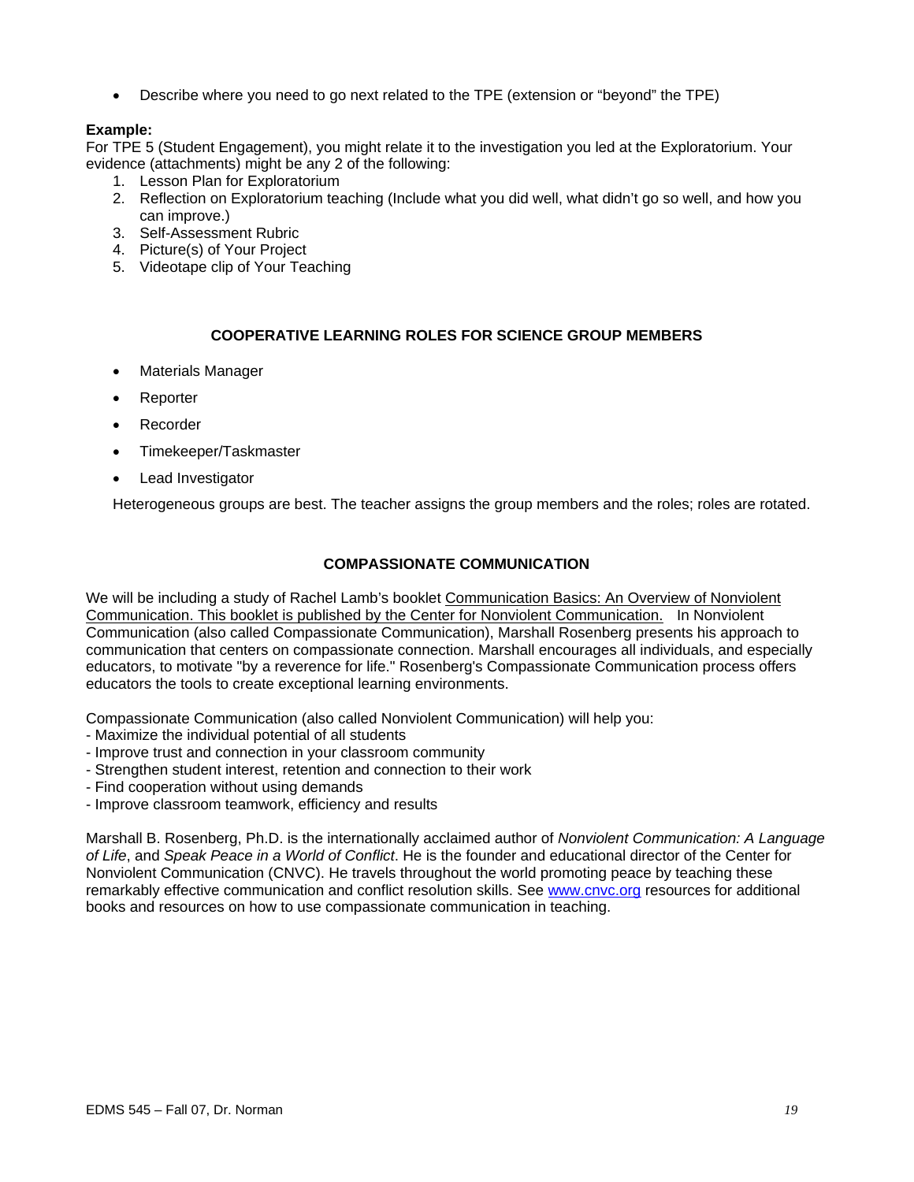• Describe where you need to go next related to the TPE (extension or "beyond" the TPE)

#### **Example:**

For TPE 5 (Student Engagement), you might relate it to the investigation you led at the Exploratorium. Your evidence (attachments) might be any 2 of the following:

- 1. Lesson Plan for Exploratorium
- 2. Reflection on Exploratorium teaching (Include what you did well, what didn't go so well, and how you can improve.)
- 3. Self-Assessment Rubric
- 4. Picture(s) of Your Project
- 5. Videotape clip of Your Teaching

#### **COOPERATIVE LEARNING ROLES FOR SCIENCE GROUP MEMBERS**

- Materials Manager
- **Reporter**
- **Recorder**
- Timekeeper/Taskmaster
- Lead Investigator

Heterogeneous groups are best. The teacher assigns the group members and the roles; roles are rotated.

#### **COMPASSIONATE COMMUNICATION**

We will be including a study of Rachel Lamb's booklet Communication Basics: An Overview of Nonviolent Communication. This booklet is published by the Center for Nonviolent Communication. In Nonviolent Communication (also called Compassionate Communication), Marshall Rosenberg presents his approach to communication that centers on compassionate connection. Marshall encourages all individuals, and especially educators, to motivate "by a reverence for life." Rosenberg's Compassionate Communication process offers educators the tools to create exceptional learning environments.

Compassionate Communication (also called Nonviolent Communication) will help you:

- Maximize the individual potential of all students
- Improve trust and connection in your classroom community
- Strengthen student interest, retention and connection to their work
- Find cooperation without using demands
- Improve classroom teamwork, efficiency and results

Marshall B. Rosenberg, Ph.D. is the internationally acclaimed author of *Nonviolent Communication: A Language of Life*, and *Speak Peace in a World of Conflict*. He is the founder and educational director of the Center for Nonviolent Communication (CNVC). He travels throughout the world promoting peace by teaching these remarkably effective communication and conflict resolution skills. See www.cnvc.org resources for additional books and resources on how to use compassionate communication in teaching.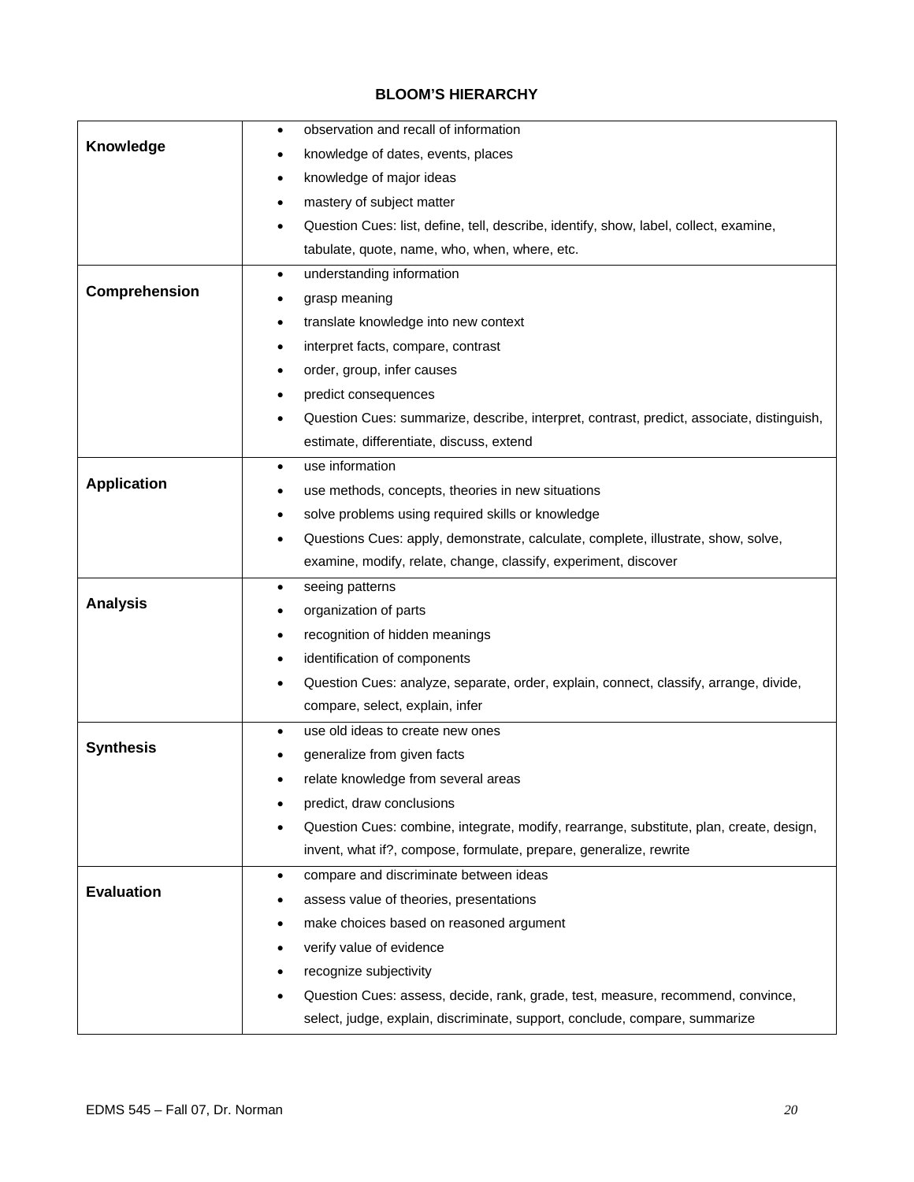# **BLOOM'S HIERARCHY**

|                    | observation and recall of information<br>$\bullet$                                        |
|--------------------|-------------------------------------------------------------------------------------------|
| Knowledge          | knowledge of dates, events, places                                                        |
|                    | knowledge of major ideas<br>٠                                                             |
|                    | mastery of subject matter                                                                 |
|                    | Question Cues: list, define, tell, describe, identify, show, label, collect, examine,     |
|                    | tabulate, quote, name, who, when, where, etc.                                             |
|                    | understanding information<br>$\bullet$                                                    |
| Comprehension      | grasp meaning                                                                             |
|                    | translate knowledge into new context<br>٠                                                 |
|                    | interpret facts, compare, contrast                                                        |
|                    | order, group, infer causes                                                                |
|                    | predict consequences                                                                      |
|                    | Question Cues: summarize, describe, interpret, contrast, predict, associate, distinguish, |
|                    | estimate, differentiate, discuss, extend                                                  |
|                    | use information<br>$\bullet$                                                              |
| <b>Application</b> | use methods, concepts, theories in new situations                                         |
|                    | solve problems using required skills or knowledge                                         |
|                    | Questions Cues: apply, demonstrate, calculate, complete, illustrate, show, solve,         |
|                    | examine, modify, relate, change, classify, experiment, discover                           |
|                    |                                                                                           |
|                    | seeing patterns<br>٠                                                                      |
| <b>Analysis</b>    | organization of parts                                                                     |
|                    | recognition of hidden meanings                                                            |
|                    | identification of components                                                              |
|                    | Question Cues: analyze, separate, order, explain, connect, classify, arrange, divide,     |
|                    | compare, select, explain, infer                                                           |
|                    | use old ideas to create new ones<br>$\bullet$                                             |
| <b>Synthesis</b>   | generalize from given facts                                                               |
|                    | relate knowledge from several areas                                                       |
|                    | predict, draw conclusions                                                                 |
|                    | Question Cues: combine, integrate, modify, rearrange, substitute, plan, create, design,   |
|                    | invent, what if?, compose, formulate, prepare, generalize, rewrite                        |
|                    | compare and discriminate between ideas<br>$\bullet$                                       |
| <b>Evaluation</b>  | assess value of theories, presentations                                                   |
|                    | make choices based on reasoned argument                                                   |
|                    | verify value of evidence                                                                  |
|                    | recognize subjectivity                                                                    |
|                    | Question Cues: assess, decide, rank, grade, test, measure, recommend, convince,           |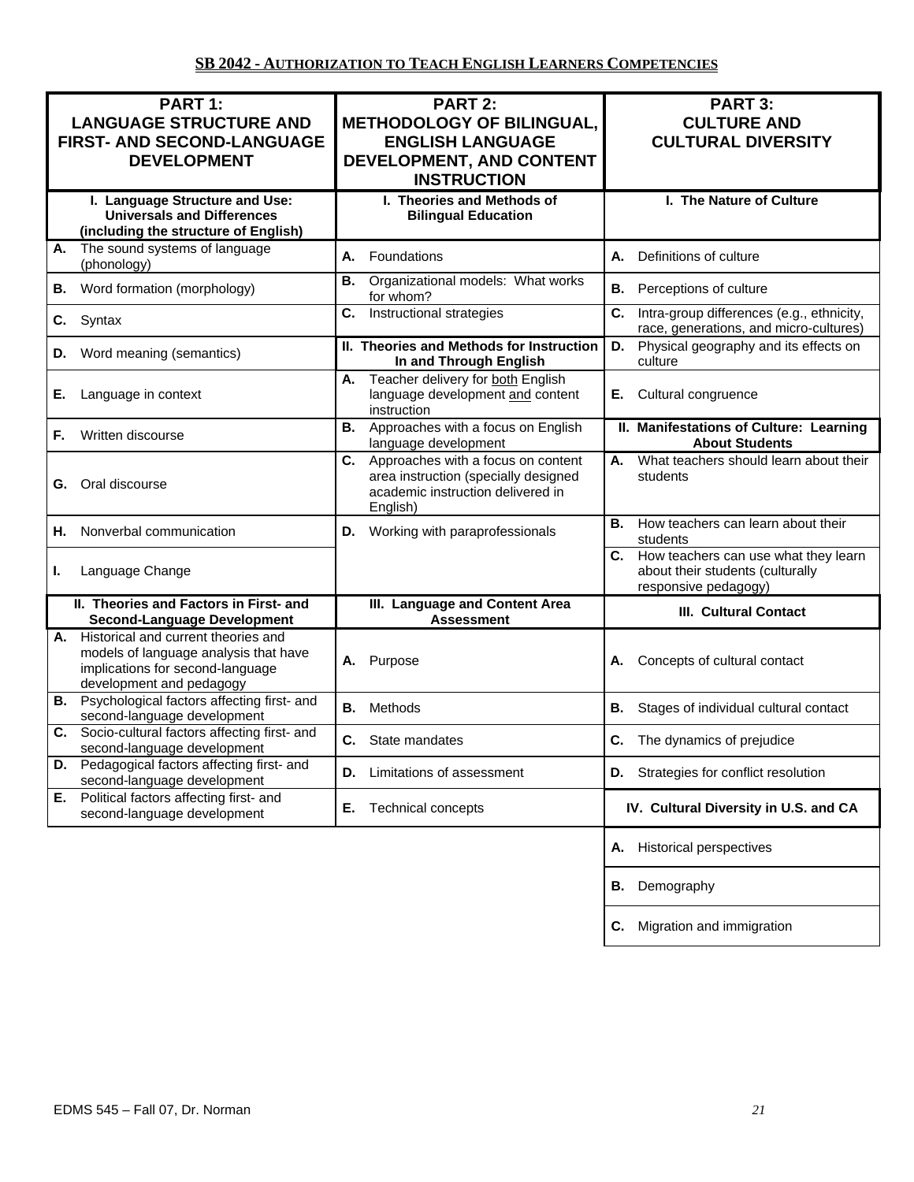| PART 1:                                                                                                                                         | PART 2:                                                                                                                           | PART 3:                                                                                             |  |
|-------------------------------------------------------------------------------------------------------------------------------------------------|-----------------------------------------------------------------------------------------------------------------------------------|-----------------------------------------------------------------------------------------------------|--|
| <b>LANGUAGE STRUCTURE AND</b><br><b>FIRST- AND SECOND-LANGUAGE</b>                                                                              | <b>METHODOLOGY OF BILINGUAL,</b><br><b>ENGLISH LANGUAGE</b>                                                                       | <b>CULTURE AND</b><br><b>CULTURAL DIVERSITY</b>                                                     |  |
| <b>DEVELOPMENT</b>                                                                                                                              | DEVELOPMENT, AND CONTENT                                                                                                          |                                                                                                     |  |
|                                                                                                                                                 | <b>INSTRUCTION</b>                                                                                                                |                                                                                                     |  |
| I. Language Structure and Use:<br><b>Universals and Differences</b><br>(including the structure of English)                                     | I. Theories and Methods of<br><b>Bilingual Education</b>                                                                          | I. The Nature of Culture                                                                            |  |
| The sound systems of language<br>А.<br>(phonology)                                                                                              | А.<br>Foundations                                                                                                                 | Definitions of culture<br>А.                                                                        |  |
| Word formation (morphology)<br>В.                                                                                                               | Organizational models: What works<br>В.<br>for whom?                                                                              | Perceptions of culture<br>В.                                                                        |  |
| Syntax<br>C.                                                                                                                                    | C.<br>Instructional strategies                                                                                                    | C.<br>Intra-group differences (e.g., ethnicity,<br>race, generations, and micro-cultures)           |  |
| Word meaning (semantics)<br>D.                                                                                                                  | II. Theories and Methods for Instruction<br>In and Through English                                                                | Physical geography and its effects on<br>D.<br>culture                                              |  |
| Language in context<br>Е.                                                                                                                       | Teacher delivery for both English<br>А.<br>language development and content<br>instruction                                        | Cultural congruence<br>Е.                                                                           |  |
| Written discourse<br>F.                                                                                                                         | Approaches with a focus on English<br>В.<br>language development                                                                  | II. Manifestations of Culture: Learning<br><b>About Students</b>                                    |  |
| Oral discourse<br>G.                                                                                                                            | C.<br>Approaches with a focus on content<br>area instruction (specially designed<br>academic instruction delivered in<br>English) | What teachers should learn about their<br>А.<br>students                                            |  |
| Nonverbal communication<br>Η.                                                                                                                   | Working with paraprofessionals<br>D.                                                                                              | How teachers can learn about their<br>В.<br>students                                                |  |
| Language Change<br>L.                                                                                                                           |                                                                                                                                   | C. How teachers can use what they learn<br>about their students (culturally<br>responsive pedagogy) |  |
| II. Theories and Factors in First- and<br><b>Second-Language Development</b>                                                                    | III. Language and Content Area<br><b>Assessment</b>                                                                               | <b>III. Cultural Contact</b>                                                                        |  |
| A. Historical and current theories and<br>models of language analysis that have<br>implications for second-language<br>development and pedagogy | Purpose<br>А.                                                                                                                     | Concepts of cultural contact<br>А.                                                                  |  |
| <b>B.</b> Psychological factors affecting first- and<br>second-language development                                                             | Methods<br>В.                                                                                                                     | В.<br>Stages of individual cultural contact                                                         |  |
| Socio-cultural factors affecting first- and<br>С.<br>second-language development                                                                | C.<br>State mandates                                                                                                              | C.<br>The dynamics of prejudice                                                                     |  |
| Pedagogical factors affecting first- and<br>D.<br>second-language development                                                                   | Limitations of assessment<br>D.                                                                                                   | Strategies for conflict resolution<br>D.                                                            |  |
| Political factors affecting first- and<br>Е.<br>second-language development                                                                     | Е.<br>Technical concepts                                                                                                          | IV. Cultural Diversity in U.S. and CA                                                               |  |
|                                                                                                                                                 |                                                                                                                                   | <b>Historical perspectives</b><br>Α.                                                                |  |
|                                                                                                                                                 |                                                                                                                                   | Demography<br>В.                                                                                    |  |
|                                                                                                                                                 |                                                                                                                                   | Migration and immigration<br>С.                                                                     |  |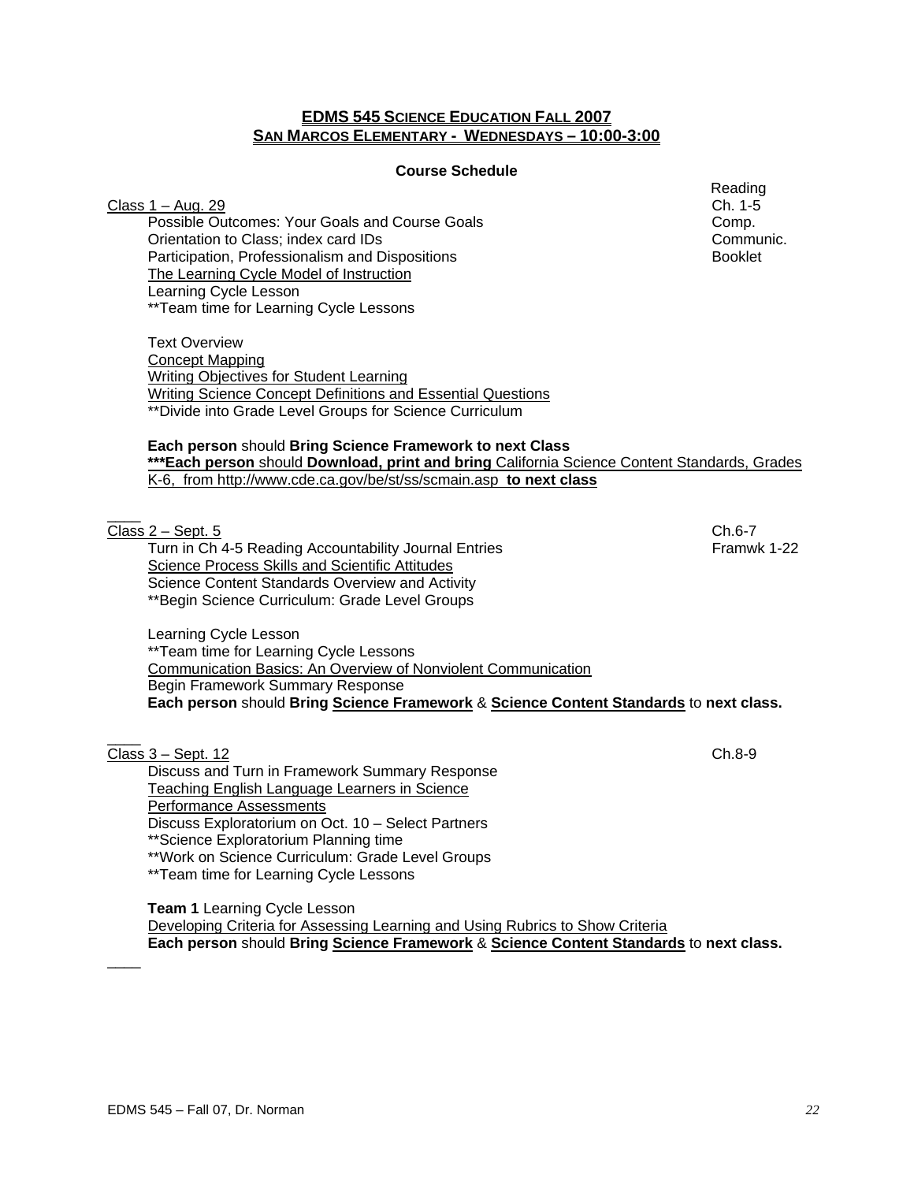#### **EDMS 545 SCIENCE EDUCATION FALL 2007 SAN MARCOS ELEMENTARY - WEDNESDAYS – 10:00-3:00**

#### **Course Schedule**

Class  $1 - Aug. 29$ 

Possible Outcomes: Your Goals and Course Goals **Comp.** Comp. Orientation to Class; index card IDs **Communic.** Communic. Participation, Professionalism and Dispositions Booklet Booklet The Learning Cycle Model of Instruction Learning Cycle Lesson \*\*Team time for Learning Cycle Lessons

 Text Overview Concept Mapping Writing Objectives for Student Learning Writing Science Concept Definitions and Essential Questions \*\*Divide into Grade Level Groups for Science Curriculum

**Each person** should **Bring Science Framework to next Class \*\*\*Each person** should **Download, print and bring** California Science Content Standards, Grades K-6, from http://www.cde.ca.gov/be/st/ss/scmain.asp **to next class**

Class 2 – Sept. 5 Ch.6-7

 $\overline{\phantom{a}}$ 

 $\overline{\phantom{a}}$ 

 $\overline{\phantom{a}}$ 

Turn in Ch 4-5 Reading Accountability Journal Entries Framwk 1-22 Framwk 1-22 Science Process Skills and Scientific Attitudes Science Content Standards Overview and Activity \*\*Begin Science Curriculum: Grade Level Groups

Learning Cycle Lesson \*\*Team time for Learning Cycle Lessons Communication Basics: An Overview of Nonviolent Communication Begin Framework Summary Response **Each person** should **Bring Science Framework** & **Science Content Standards** to **next class.**

Class 3 – Sept. 12 Ch.8-9 Discuss and Turn in Framework Summary Response Teaching English Language Learners in Science Performance Assessments Discuss Exploratorium on Oct. 10 – Select Partners \*\*Science Exploratorium Planning time \*\*Work on Science Curriculum: Grade Level Groups

\*\*Team time for Learning Cycle Lessons

**Team 1** Learning Cycle Lesson

 Developing Criteria for Assessing Learning and Using Rubrics to Show Criteria **Each person** should **Bring Science Framework** & **Science Content Standards** to **next class.**

Reading<br>Ch. 1-5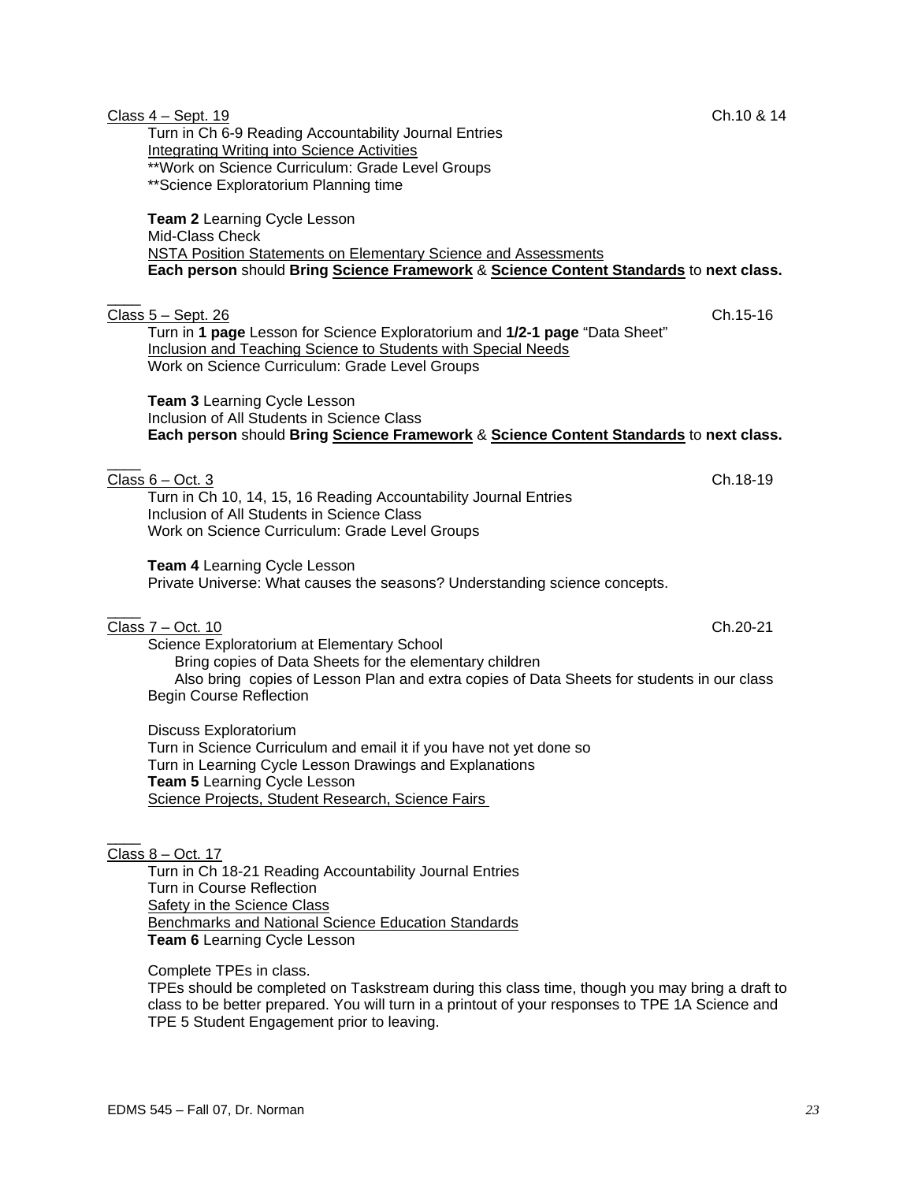| Team 3 Learning Cycle Lesson<br>Inclusion of All Students in Science Class<br>Each person should Bring Science Framework & Science Content Standards to next class.                                                                                                         |          |    |
|-----------------------------------------------------------------------------------------------------------------------------------------------------------------------------------------------------------------------------------------------------------------------------|----------|----|
| <u> Class 6 – Oct. 3</u><br>Turn in Ch 10, 14, 15, 16 Reading Accountability Journal Entries<br>Inclusion of All Students in Science Class<br>Work on Science Curriculum: Grade Level Groups                                                                                | Ch.18-19 |    |
| Team 4 Learning Cycle Lesson<br>Private Universe: What causes the seasons? Understanding science concepts.                                                                                                                                                                  |          |    |
| <u>Class 7 – Oct. 10</u><br>Science Exploratorium at Elementary School<br>Bring copies of Data Sheets for the elementary children<br>Also bring copies of Lesson Plan and extra copies of Data Sheets for students in our class<br><b>Begin Course Reflection</b>           | Ch.20-21 |    |
| Discuss Exploratorium<br>Turn in Science Curriculum and email it if you have not yet done so<br>Turn in Learning Cycle Lesson Drawings and Explanations<br>Team 5 Learning Cycle Lesson<br>Science Projects, Student Research, Science Fairs                                |          |    |
| Class 8 - Oct. 17<br>Turn in Ch 18-21 Reading Accountability Journal Entries<br>Turn in Course Reflection<br>Safety in the Science Class<br>Benchmarks and National Science Education Standards<br>Team 6 Learning Cycle Lesson                                             |          |    |
| Complete TPEs in class.<br>TPEs should be completed on Taskstream during this class time, though you may bring a draft to<br>class to be better prepared. You will turn in a printout of your responses to TPE 1A Science and<br>TPE 5 Student Engagement prior to leaving. |          |    |
| EDMS 545 - Fall 07, Dr. Norman                                                                                                                                                                                                                                              |          | 23 |

 **Each person** should **Bring Science Framework** & **Science Content Standards** to **next class.**

Class 5 – Sept. 26 Ch.15-16

Turn in **1 page** Lesson for Science Exploratorium and **1/2-1 page** "Data Sheet"

 $\overline{\phantom{a}}$ 

Turn in Ch 6-9 Reading Accountability Journal Entries

\*\*Work on Science Curriculum: Grade Level Groups

Work on Science Curriculum: Grade Level Groups

NSTA Position Statements on Elementary Science and Assessments

Inclusion and Teaching Science to Students with Special Needs

Integrating Writing into Science Activities

\*\*Science Exploratorium Planning time

**Team 2** Learning Cycle Lesson

Mid-Class Check

# Class 8 – Oct. 17

# Class 4 – Sept. 19 Ch.10 & 14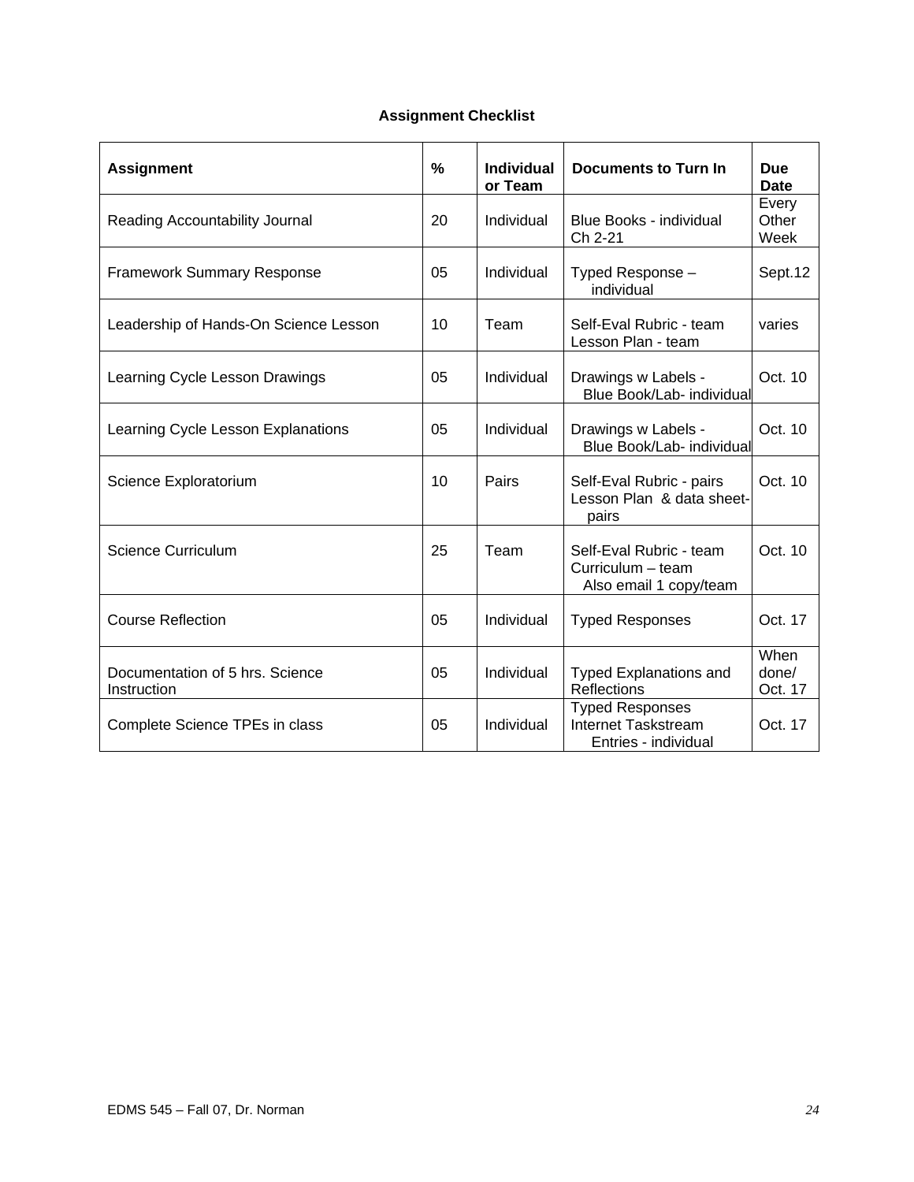# **Assignment Checklist**

| <b>Assignment</b>                              | %  | <b>Individual</b><br>or Team | <b>Documents to Turn In</b>                                            | <b>Due</b><br><b>Date</b> |
|------------------------------------------------|----|------------------------------|------------------------------------------------------------------------|---------------------------|
| Reading Accountability Journal                 | 20 | Individual                   | Blue Books - individual<br>Ch 2-21                                     | Every<br>Other<br>Week    |
| <b>Framework Summary Response</b>              | 05 | Individual                   | Typed Response -<br>individual                                         | Sept.12                   |
| Leadership of Hands-On Science Lesson          | 10 | Team                         | Self-Eval Rubric - team<br>Lesson Plan - team                          | varies                    |
| Learning Cycle Lesson Drawings                 | 05 | Individual                   | Drawings w Labels -<br>Blue Book/Lab- individual                       | Oct. 10                   |
| Learning Cycle Lesson Explanations             | 05 | Individual                   | Drawings w Labels -<br>Blue Book/Lab- individual                       | Oct. 10                   |
| Science Exploratorium                          | 10 | Pairs                        | Self-Eval Rubric - pairs<br>Lesson Plan & data sheet-<br>pairs         | Oct. 10                   |
| <b>Science Curriculum</b>                      | 25 | Team                         | Self-Eval Rubric - team<br>Curriculum - team<br>Also email 1 copy/team | Oct. 10                   |
| <b>Course Reflection</b>                       | 05 | Individual                   | <b>Typed Responses</b>                                                 | Oct. 17                   |
| Documentation of 5 hrs. Science<br>Instruction | 05 | Individual                   | <b>Typed Explanations and</b><br><b>Reflections</b>                    | When<br>done/<br>Oct. 17  |
| Complete Science TPEs in class                 | 05 | Individual                   | <b>Typed Responses</b><br>Internet Taskstream<br>Entries - individual  | Oct. 17                   |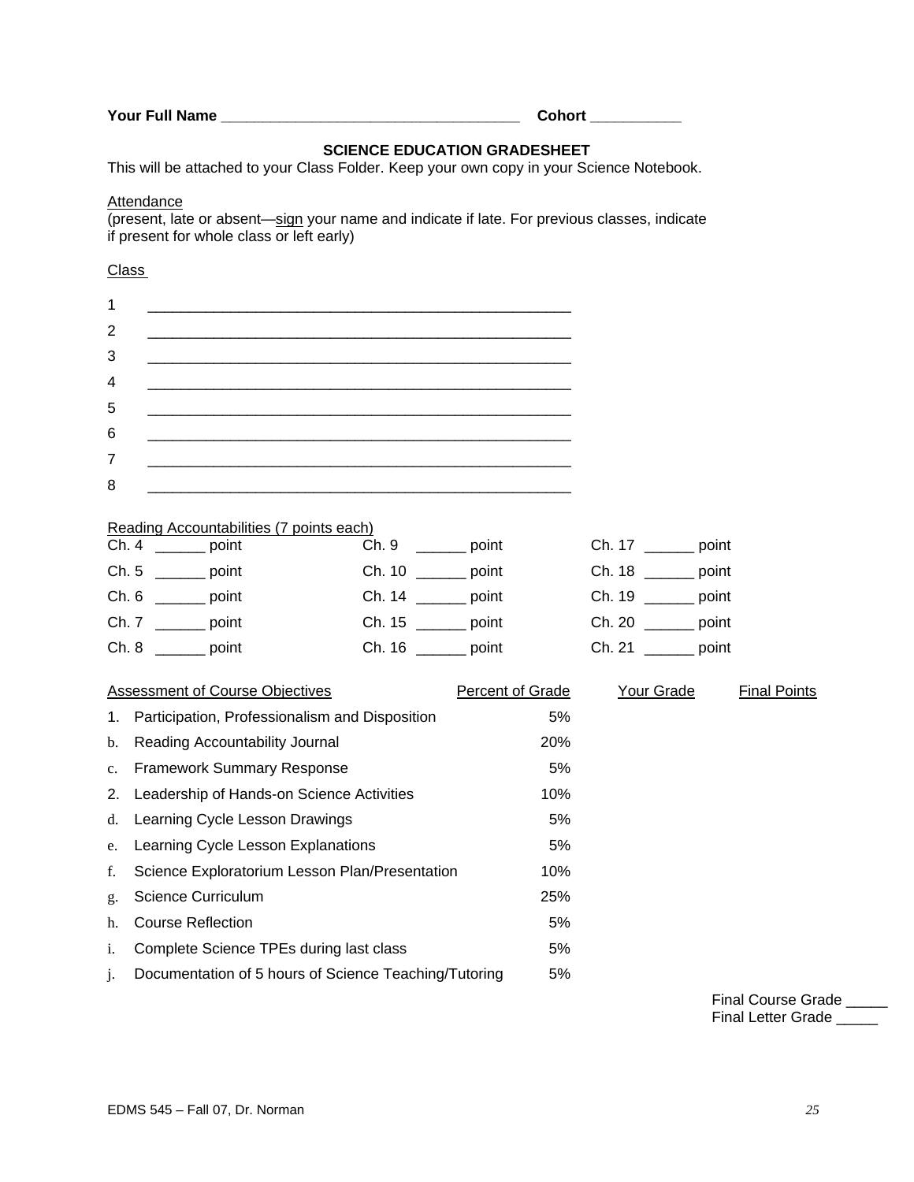**Your Full Name \_\_\_\_\_\_\_\_\_\_\_\_\_\_\_\_\_\_\_\_\_\_\_\_\_\_\_\_\_\_\_\_\_\_\_\_ Cohort \_\_\_\_\_\_\_\_\_\_\_** 

# **SCIENCE EDUCATION GRADESHEET**

This will be attached to your Class Folder. Keep your own copy in your Science Notebook.

#### **Attendance**

(present, late or absent—sign your name and indicate if late. For previous classes, indicate if present for whole class or left early)

# Class

#### Reading Accountabilities (7 points each)

| Ch. $4 \_ \qquad$ point | Ch. 9 _______ point   | Ch. 17 ________ point |
|-------------------------|-----------------------|-----------------------|
| Ch. 5 ________ point    | Ch. 10 _______ point  | Ch. 18 ________ point |
| $Ch. 6$ point           | Ch. 14 ________ point | Ch. 19 ________ point |
| Ch. 7 ________ point    | Ch. 15 ________ point | Ch. 20 ________ point |
| $Ch. 8$ ________ point  | Ch. 16 _______ point  | Ch. 21 ________ point |

|                | <b>Assessment of Course Objectives</b>                | Percent of Grade | Your Grade | <b>Final Points</b> |
|----------------|-------------------------------------------------------|------------------|------------|---------------------|
| 1.             | Participation, Professionalism and Disposition        | 5%               |            |                     |
| b.             | Reading Accountability Journal                        | 20%              |            |                     |
| $\mathbf{c}$ . | <b>Framework Summary Response</b>                     | 5%               |            |                     |
| 2.             | Leadership of Hands-on Science Activities             | 10%              |            |                     |
| d.             | Learning Cycle Lesson Drawings                        | 5%               |            |                     |
| e.             | Learning Cycle Lesson Explanations                    | 5%               |            |                     |
| f.             | Science Exploratorium Lesson Plan/Presentation        | 10%              |            |                     |
| g.             | Science Curriculum                                    | 25%              |            |                     |
| h.             | <b>Course Reflection</b>                              | 5%               |            |                     |
| 1.             | Complete Science TPEs during last class               | 5%               |            |                     |
| $\cdot$        | Documentation of 5 hours of Science Teaching/Tutoring | 5%               |            |                     |

Final Course Grade \_\_\_\_\_ Final Letter Grade \_\_\_\_\_